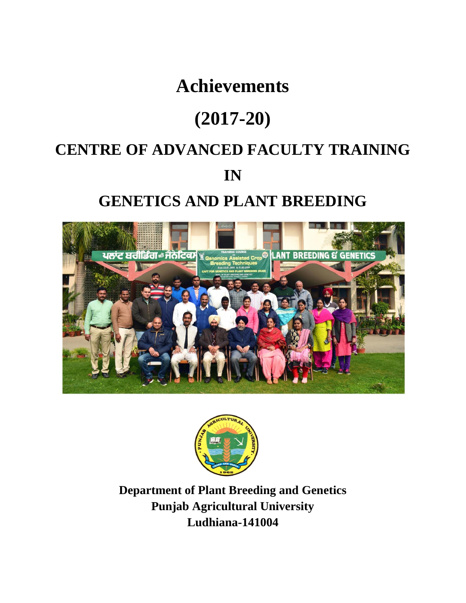# **Achievements**

# **(2017-20)**

# **CENTRE OF ADVANCED FACULTY TRAINING**

## **IN**

# **GENETICS AND PLANT BREEDING**





**Department of Plant Breeding and Genetics Punjab Agricultural University Ludhiana-141004**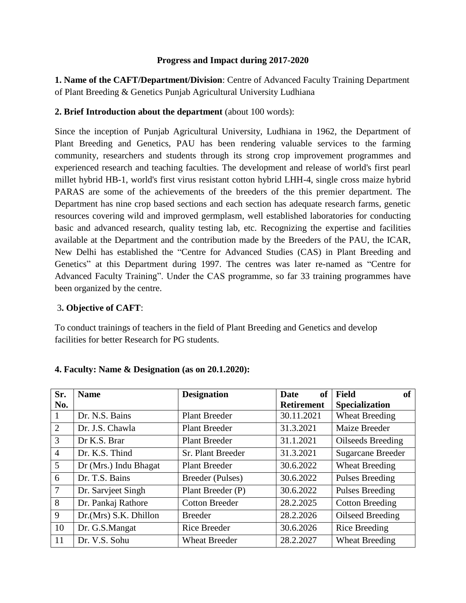#### **Progress and Impact during 2017-2020**

**1. Name of the CAFT/Department/Division**: Centre of Advanced Faculty Training Department of Plant Breeding & Genetics Punjab Agricultural University Ludhiana

#### **2. Brief Introduction about the department** (about 100 words):

Since the inception of Punjab Agricultural University, Ludhiana in 1962, the Department of Plant Breeding and Genetics, PAU has been rendering valuable services to the farming community, researchers and students through its strong crop improvement programmes and experienced research and teaching faculties. The development and release of world's first pearl millet hybrid HB-1, world's first virus resistant cotton hybrid LHH-4, single cross maize hybrid PARAS are some of the achievements of the breeders of the this premier department. The Department has nine crop based sections and each section has adequate research farms, genetic resources covering wild and improved germplasm, well established laboratories for conducting basic and advanced research, quality testing lab, etc. Recognizing the expertise and facilities available at the Department and the contribution made by the Breeders of the PAU, the ICAR, New Delhi has established the "Centre for Advanced Studies (CAS) in Plant Breeding and Genetics" at this Department during 1997. The centres was later re-named as "Centre for Advanced Faculty Training". Under the CAS programme, so far 33 training programmes have been organized by the centre.

#### 3**. Objective of CAFT**:

To conduct trainings of teachers in the field of Plant Breeding and Genetics and develop facilities for better Research for PG students.

| Sr.             | <b>Name</b>           | <b>Designation</b>    | <sub>of</sub><br><b>Date</b> | <b>Field</b><br><b>of</b> |
|-----------------|-----------------------|-----------------------|------------------------------|---------------------------|
| No.             |                       |                       | <b>Retirement</b>            | <b>Specialization</b>     |
| 1               | Dr. N.S. Bains        | <b>Plant Breeder</b>  | 30.11.2021                   | <b>Wheat Breeding</b>     |
| $\overline{2}$  | Dr. J.S. Chawla       | <b>Plant Breeder</b>  | 31.3.2021                    | Maize Breeder             |
| 3               | Dr K.S. Brar          | <b>Plant Breeder</b>  | 31.1.2021                    | Oilseeds Breeding         |
| $\overline{4}$  | Dr. K.S. Thind        | Sr. Plant Breeder     | 31.3.2021                    | <b>Sugarcane Breeder</b>  |
| $5\overline{)}$ | Dr (Mrs.) Indu Bhagat | <b>Plant Breeder</b>  | 30.6.2022                    | <b>Wheat Breeding</b>     |
| 6               | Dr. T.S. Bains        | Breeder (Pulses)      | 30.6.2022                    | <b>Pulses Breeding</b>    |
| $\overline{7}$  | Dr. Sarvjeet Singh    | Plant Breeder (P)     | 30.6.2022                    | Pulses Breeding           |
| 8               | Dr. Pankaj Rathore    | <b>Cotton Breeder</b> | 28.2.2025                    | <b>Cotton Breeding</b>    |
| 9               | Dr.(Mrs) S.K. Dhillon | <b>Breeder</b>        | 28.2.2026                    | Oilseed Breeding          |
| 10              | Dr. G.S.Mangat        | <b>Rice Breeder</b>   | 30.6.2026                    | <b>Rice Breeding</b>      |
| 11              | Dr. V.S. Sohu         | <b>Wheat Breeder</b>  | 28.2.2027                    | <b>Wheat Breeding</b>     |

#### **4. Faculty: Name & Designation (as on 20.1.2020):**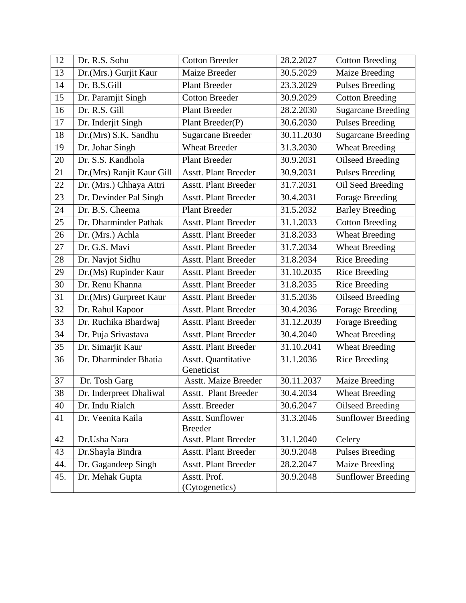| 12  | Dr. R.S. Sohu             | <b>Cotton Breeder</b>             | 28.2.2027  | <b>Cotton Breeding</b>    |
|-----|---------------------------|-----------------------------------|------------|---------------------------|
| 13  | Dr.(Mrs.) Gurjit Kaur     | Maize Breeder                     | 30.5.2029  | <b>Maize Breeding</b>     |
| 14  | Dr. B.S.Gill              | <b>Plant Breeder</b>              | 23.3.2029  | <b>Pulses Breeding</b>    |
| 15  | Dr. Paramjit Singh        | <b>Cotton Breeder</b>             | 30.9.2029  | <b>Cotton Breeding</b>    |
| 16  | Dr. R.S. Gill             | <b>Plant Breeder</b>              | 28.2.2030  | <b>Sugarcane Breeding</b> |
| 17  | Dr. Inderjit Singh        | Plant Breeder(P)                  | 30.6.2030  | <b>Pulses Breeding</b>    |
| 18  | Dr.(Mrs) S.K. Sandhu      | <b>Sugarcane Breeder</b>          | 30.11.2030 | <b>Sugarcane Breeding</b> |
| 19  | Dr. Johar Singh           | <b>Wheat Breeder</b>              | 31.3.2030  | <b>Wheat Breeding</b>     |
| 20  | Dr. S.S. Kandhola         | <b>Plant Breeder</b>              | 30.9.2031  | <b>Oilseed Breeding</b>   |
| 21  | Dr.(Mrs) Ranjit Kaur Gill | <b>Asstt. Plant Breeder</b>       | 30.9.2031  | <b>Pulses Breeding</b>    |
| 22  | Dr. (Mrs.) Chhaya Attri   | <b>Asstt. Plant Breeder</b>       | 31.7.2031  | Oil Seed Breeding         |
| 23  | Dr. Devinder Pal Singh    | <b>Asstt. Plant Breeder</b>       | 30.4.2031  | Forage Breeding           |
| 24  | Dr. B.S. Cheema           | <b>Plant Breeder</b>              | 31.5.2032  | <b>Barley Breeding</b>    |
| 25  | Dr. Dharminder Pathak     | <b>Asstt. Plant Breeder</b>       | 31.1.2033  | <b>Cotton Breeding</b>    |
| 26  | Dr. (Mrs.) Achla          | <b>Asstt. Plant Breeder</b>       | 31.8.2033  | <b>Wheat Breeding</b>     |
| 27  | Dr. G.S. Mavi             | <b>Asstt. Plant Breeder</b>       | 31.7.2034  | <b>Wheat Breeding</b>     |
| 28  | Dr. Navjot Sidhu          | <b>Asstt. Plant Breeder</b>       | 31.8.2034  | <b>Rice Breeding</b>      |
| 29  | Dr.(Ms) Rupinder Kaur     | <b>Asstt. Plant Breeder</b>       | 31.10.2035 | <b>Rice Breeding</b>      |
| 30  | Dr. Renu Khanna           | <b>Asstt. Plant Breeder</b>       | 31.8.2035  | <b>Rice Breeding</b>      |
| 31  | Dr.(Mrs) Gurpreet Kaur    | <b>Asstt. Plant Breeder</b>       | 31.5.2036  | <b>Oilseed Breeding</b>   |
| 32  | Dr. Rahul Kapoor          | <b>Asstt. Plant Breeder</b>       | 30.4.2036  | Forage Breeding           |
| 33  | Dr. Ruchika Bhardwaj      | <b>Asstt. Plant Breeder</b>       | 31.12.2039 | Forage Breeding           |
| 34  | Dr. Puja Srivastava       | <b>Asstt. Plant Breeder</b>       | 30.4.2040  | <b>Wheat Breeding</b>     |
| 35  | Dr. Simarjit Kaur         | <b>Asstt. Plant Breeder</b>       | 31.10.2041 | <b>Wheat Breeding</b>     |
| 36  | Dr. Dharminder Bhatia     | Asstt. Quantitative<br>Geneticist | 31.1.2036  | <b>Rice Breeding</b>      |
| 37  | Dr. Tosh Garg             | <b>Asstt. Maize Breeder</b>       | 30.11.2037 | Maize Breeding            |
| 38  | Dr. Inderpreet Dhaliwal   | <b>Asstt. Plant Breeder</b>       | 30.4.2034  | <b>Wheat Breeding</b>     |
| 40  | Dr. Indu Rialch           | Asstt. Breeder                    | 30.6.2047  | Oilseed Breeding          |
| 41  | Dr. Veenita Kaila         | Asstt. Sunflower                  | 31.3.2046  | <b>Sunflower Breeding</b> |
|     |                           | <b>Breeder</b>                    |            |                           |
| 42  | Dr.Usha Nara              | <b>Asstt. Plant Breeder</b>       | 31.1.2040  | Celery                    |
| 43  | Dr.Shayla Bindra          | <b>Asstt. Plant Breeder</b>       | 30.9.2048  | <b>Pulses Breeding</b>    |
| 44. | Dr. Gagandeep Singh       | <b>Asstt. Plant Breeder</b>       | 28.2.2047  | <b>Maize Breeding</b>     |
| 45. | Dr. Mehak Gupta           | Asstt. Prof.<br>(Cytogenetics)    | 30.9.2048  | <b>Sunflower Breeding</b> |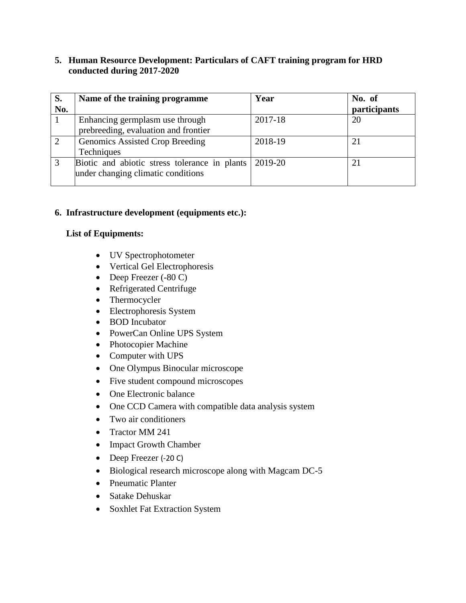#### **5. Human Resource Development: Particulars of CAFT training program for HRD conducted during 2017-2020**

| S.  | Name of the training programme                                                      | Year    | No. of       |
|-----|-------------------------------------------------------------------------------------|---------|--------------|
| No. |                                                                                     |         | participants |
|     | Enhancing germplasm use through<br>prebreeding, evaluation and frontier             | 2017-18 | 20           |
|     | Genomics Assisted Crop Breeding<br>Techniques                                       | 2018-19 | $2^{\circ}$  |
|     | Biotic and abiotic stress tolerance in plants<br>under changing climatic conditions | 2019-20 | 21           |

#### **6. Infrastructure development (equipments etc.):**

#### **List of Equipments:**

- UV Spectrophotometer
- Vertical Gel Electrophoresis
- $\bullet$  Deep Freezer (-80 C)
- Refrigerated Centrifuge
- Thermocycler
- Electrophoresis System
- BOD Incubator
- PowerCan Online UPS System
- Photocopier Machine
- Computer with UPS
- One Olympus Binocular microscope
- Five student compound microscopes
- One Electronic balance
- One CCD Camera with compatible data analysis system
- Two air conditioners
- Tractor MM 241
- Impact Growth Chamber
- Deep Freezer (-20 C)
- Biological research microscope along with Magcam DC-5
- Pneumatic Planter
- Satake Dehuskar
- Soxhlet Fat Extraction System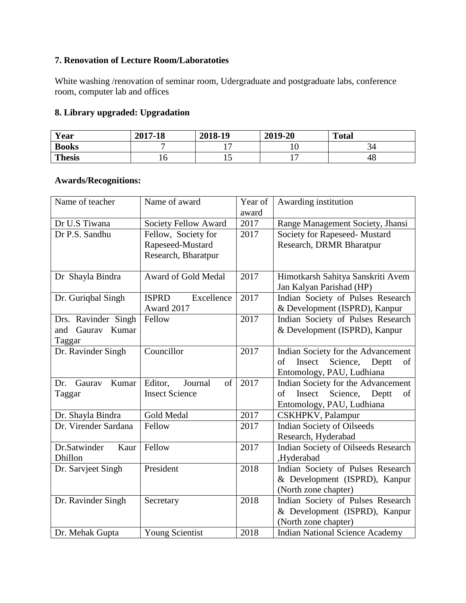## **7. Renovation of Lecture Room/Laboratoties**

White washing /renovation of seminar room, Udergraduate and postgraduate labs, conference room, computer lab and offices

### **8. Library upgraded: Upgradation**

| Year          | 2017-18 | 2018-19                  | 2019-20 | <b>Total</b> |
|---------------|---------|--------------------------|---------|--------------|
| <b>Books</b>  |         | $\overline{\phantom{0}}$ | ⊥∪      | 34           |
| <b>Thesis</b> | ⊥∪      | ⊥ັ                       | -       | 48           |

#### **Awards/Recognitions:**

| Name of teacher<br>Name of award |                            | Year of | Awarding institution                    |  |
|----------------------------------|----------------------------|---------|-----------------------------------------|--|
|                                  |                            | award   |                                         |  |
| Dr U.S Tiwana                    | Society Fellow Award       | 2017    | Range Management Society, Jhansi        |  |
| Dr P.S. Sandhu                   | Fellow, Society for        | 2017    | Society for Rapeseed- Mustard           |  |
|                                  | Rapeseed-Mustard           |         | Research, DRMR Bharatpur                |  |
|                                  | Research, Bharatpur        |         |                                         |  |
|                                  |                            |         |                                         |  |
| Dr Shayla Bindra                 | Award of Gold Medal        | 2017    | Himotkarsh Sahitya Sanskriti Avem       |  |
|                                  |                            |         | Jan Kalyan Parishad (HP)                |  |
| Dr. Guriqbal Singh               | Excellence<br><b>ISPRD</b> | 2017    | Indian Society of Pulses Research       |  |
|                                  | Award 2017                 |         | & Development (ISPRD), Kanpur           |  |
| Drs. Ravinder Singh              | Fellow                     | 2017    | Indian Society of Pulses Research       |  |
| Gaurav<br>Kumar<br>and           |                            |         | & Development (ISPRD), Kanpur           |  |
| Taggar                           |                            |         |                                         |  |
| Dr. Ravinder Singh               | Councillor                 | 2017    | Indian Society for the Advancement      |  |
|                                  |                            |         | Insect<br>of<br>Science,<br>Deptt<br>οf |  |
|                                  |                            |         | Entomology, PAU, Ludhiana               |  |
| Kumar<br>Gaurav<br>Dr.           | of<br>Editor,<br>Journal   | 2017    | Indian Society for the Advancement      |  |
| Taggar                           | <b>Insect Science</b>      |         | Insect<br>Science,<br>Deptt<br>of<br>of |  |
|                                  |                            |         | Entomology, PAU, Ludhiana               |  |
| Dr. Shayla Bindra                | Gold Medal                 | 2017    | CSKHPKV, Palampur                       |  |
| Dr. Virender Sardana             | Fellow                     | 2017    | <b>Indian Society of Oilseeds</b>       |  |
|                                  |                            |         | Research, Hyderabad                     |  |
| Dr.Satwinder<br>Kaur             | Fellow                     | 2017    | Indian Society of Oilseeds Research     |  |
| Dhillon                          |                            |         | ,Hyderabad                              |  |
| Dr. Sarvjeet Singh               | President                  | 2018    | Indian Society of Pulses Research       |  |
|                                  |                            |         | & Development (ISPRD), Kanpur           |  |
|                                  |                            |         | (North zone chapter)                    |  |
| Dr. Ravinder Singh               | Secretary                  | 2018    | Indian Society of Pulses Research       |  |
|                                  |                            |         | & Development (ISPRD), Kanpur           |  |
|                                  |                            |         | (North zone chapter)                    |  |
| Dr. Mehak Gupta                  | <b>Young Scientist</b>     | 2018    | <b>Indian National Science Academy</b>  |  |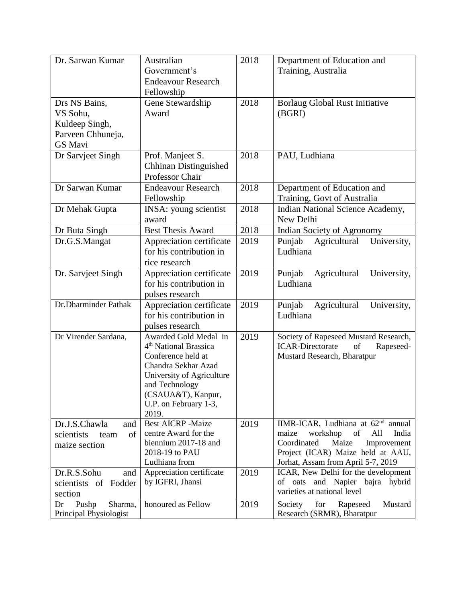| Dr. Sarwan Kumar                                                            | Australian<br>Government's<br><b>Endeavour Research</b><br>Fellowship                                                                                                                                          | 2018 | Department of Education and<br>Training, Australia                                                                                                                                                          |
|-----------------------------------------------------------------------------|----------------------------------------------------------------------------------------------------------------------------------------------------------------------------------------------------------------|------|-------------------------------------------------------------------------------------------------------------------------------------------------------------------------------------------------------------|
| Drs NS Bains,<br>VS Sohu,<br>Kuldeep Singh,<br>Parveen Chhuneja,<br>GS Mavi | Gene Stewardship<br>Award                                                                                                                                                                                      | 2018 | Borlaug Global Rust Initiative<br>(BGRI)                                                                                                                                                                    |
| Dr Sarvjeet Singh                                                           | Prof. Manjeet S.<br>Chhinan Distinguished<br>Professor Chair                                                                                                                                                   | 2018 | PAU, Ludhiana                                                                                                                                                                                               |
| Dr Sarwan Kumar                                                             | <b>Endeavour Research</b><br>Fellowship                                                                                                                                                                        | 2018 | Department of Education and<br>Training, Govt of Australia                                                                                                                                                  |
| Dr Mehak Gupta                                                              | INSA: young scientist<br>award                                                                                                                                                                                 | 2018 | Indian National Science Academy,<br>New Delhi                                                                                                                                                               |
| Dr Buta Singh                                                               | <b>Best Thesis Award</b>                                                                                                                                                                                       | 2018 | Indian Society of Agronomy                                                                                                                                                                                  |
| Dr.G.S.Mangat                                                               | Appreciation certificate<br>for his contribution in<br>rice research                                                                                                                                           | 2019 | Punjab<br>Agricultural<br>University,<br>Ludhiana                                                                                                                                                           |
| Dr. Sarvjeet Singh                                                          | Appreciation certificate<br>for his contribution in<br>pulses research                                                                                                                                         | 2019 | Punjab<br>Agricultural<br>University,<br>Ludhiana                                                                                                                                                           |
| Dr.Dharminder Pathak                                                        | Appreciation certificate<br>for his contribution in<br>pulses research                                                                                                                                         | 2019 | Agricultural<br>Punjab<br>University,<br>Ludhiana                                                                                                                                                           |
| Dr Virender Sardana,                                                        | Awarded Gold Medal in<br>4 <sup>th</sup> National Brassica<br>Conference held at<br>Chandra Sekhar Azad<br>University of Agriculture<br>and Technology<br>(CSAUA&T), Kanpur,<br>U.P. on February 1-3,<br>2019. | 2019 | Society of Rapeseed Mustard Research,<br><b>ICAR-Directorate</b><br>of<br>Rapeseed-<br>Mustard Research, Bharatpur                                                                                          |
| Dr.J.S.Chawla<br>and<br>scientists<br>of<br>team<br>maize section           | <b>Best AICRP -Maize</b><br>centre Award for the<br>biennium 2017-18 and<br>2018-19 to PAU<br>Ludhiana from                                                                                                    | 2019 | IIMR-ICAR, Ludhiana at 62 <sup>nd</sup> annual<br>workshop<br>of<br>maize<br>All<br>India<br>Maize<br>Coordinated<br>Improvement<br>Project (ICAR) Maize held at AAU,<br>Jorhat, Assam from April 5-7, 2019 |
| Dr.R.S.Sohu<br>and<br>scientists of Fodder<br>section                       | Appreciation certificate<br>by IGFRI, Jhansi                                                                                                                                                                   | 2019 | ICAR, New Delhi for the development<br>of oats and Napier bajra hybrid<br>varieties at national level                                                                                                       |
| Pushp<br>Sharma,<br>Dr<br>Principal Physiologist                            | honoured as Fellow                                                                                                                                                                                             | 2019 | for<br>Rapeseed<br>Mustard<br>Society<br>Research (SRMR), Bharatpur                                                                                                                                         |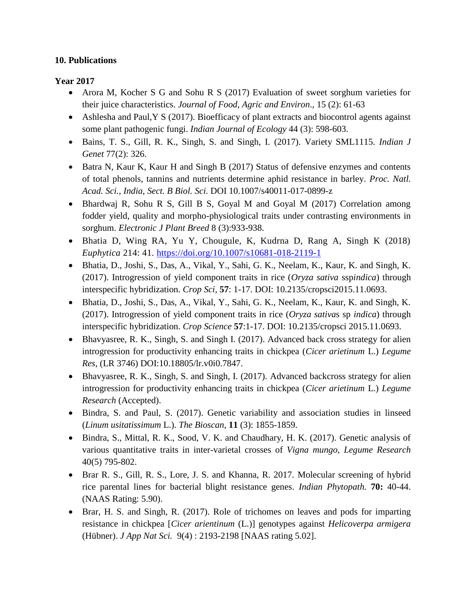#### **10. Publications**

### **Year 2017**

- Arora M, Kocher S G and Sohu R S (2017) Evaluation of sweet sorghum varieties for their juice characteristics. *Journal of Food, Agric and Environ*., 15 (2): 61-63
- Ashlesha and Paul,Y S (2017). Bioefficacy of plant extracts and biocontrol agents against some plant pathogenic fungi. *Indian Journal of Ecology* 44 (3): 598-603.
- Bains, T. S., Gill, R. K., Singh, S. and Singh, I. (2017). Variety SML1115. *Indian J Genet* 77(2): 326.
- Batra N, Kaur K, Kaur H and Singh B (2017) Status of defensive enzymes and contents of total phenols, tannins and nutrients determine aphid resistance in barley. *Proc. Natl. Acad. Sci., India, Sect. B Biol. Sci.* DOI 10.1007/s40011-017-0899-z
- Bhardwaj R, Sohu R S, Gill B S, Goyal M and Goyal M (2017) Correlation among fodder yield, quality and morpho-physiological traits under contrasting environments in sorghum. *Electronic J Plant Breed* 8 (3):933-938.
- Bhatia D, Wing RA, Yu Y, Chougule, K, Kudrna D, Rang A, Singh K (2018) *Euphytica* 214: 41.<https://doi.org/10.1007/s10681-018-2119-1>
- Bhatia, D., Joshi, S., Das, A., Vikal, Y., Sahi, G. K., Neelam, K., Kaur, K. and Singh, K. (2017). Introgression of yield component traits in rice (*Oryza sativa* ssp*indica*) through interspecific hybridization. *Crop Sci,* **57**: 1-17. DOI: 10.2135/cropsci2015.11.0693.
- Bhatia, D., Joshi, S., Das, A., Vikal, Y., Sahi, G. K., Neelam, K., Kaur, K. and Singh, K. (2017). Introgression of yield component traits in rice (*Oryza sativa*s sp *indica*) through interspecific hybridization. *Crop Science* **57**:1-17. DOI: 10.2135/cropsci 2015.11.0693.
- Bhavyasree, R. K., Singh, S. and Singh I. (2017). Advanced back cross strategy for alien introgression for productivity enhancing traits in chickpea (*Cicer arietinum* L.) *Legume Res,* (LR 3746) DOI:10.18805/lr.v0i0.7847.
- Bhavyasree, R. K., Singh, S. and Singh, I. (2017). Advanced backcross strategy for alien introgression for productivity enhancing traits in chickpea (*Cicer arietinum* L.) *Legume Research* (Accepted).
- Bindra, S. and Paul, S. (2017). Genetic variability and association studies in linseed (*Linum usitatissimum* L.). *The Bioscan*, **11** (3): 1855-1859.
- Bindra, S., Mittal, R. K., Sood, V. K. and Chaudhary, H. K. (2017). Genetic analysis of various quantitative traits in inter-varietal crosses of *Vigna mungo*, *Legume Research* 40(5) 795-802.
- Brar R. S., Gill, R. S., Lore, J. S. and Khanna, R. 2017. Molecular screening of hybrid rice parental lines for bacterial blight resistance genes. *Indian Phytopath.* **70:** 40-44. (NAAS Rating: 5.90).
- Brar, H. S. and Singh, R. (2017). Role of trichomes on leaves and pods for imparting resistance in chickpea [*Cicer arientinum* (L.)] genotypes against *Helicoverpa armigera*  (Hübner). *J App Nat Sci.* 9(4) : 2193-2198 [NAAS rating 5.02].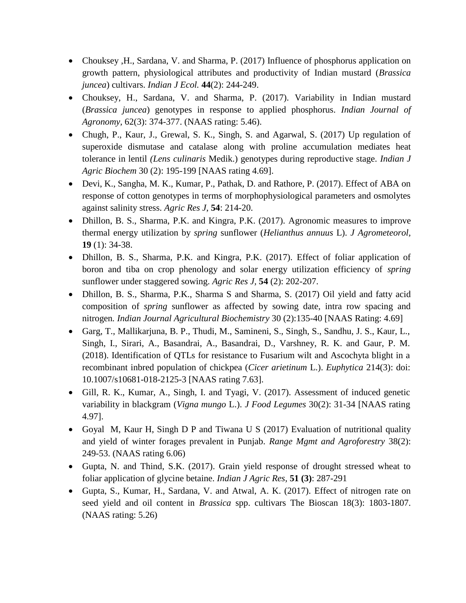- Chouksey , H., Sardana, V. and Sharma, P. (2017) Influence of phosphorus application on growth pattern, physiological attributes and productivity of Indian mustard (*Brassica juncea*) cultivars. *Indian J Ecol.* **44**(2): 244-249.
- Chouksey, H., Sardana, V. and Sharma, P. (2017). Variability in Indian mustard (*Brassica juncea*) genotypes in response to applied phosphorus. *Indian Journal of Agronomy,* 62(3): 374-377. (NAAS rating: 5.46).
- Chugh, P., Kaur, J., Grewal, S. K., Singh, S. and Agarwal, S. (2017) Up regulation of superoxide dismutase and catalase along with proline accumulation mediates heat tolerance in lentil *(Lens culinaris* Medik.) genotypes during reproductive stage. *Indian J Agric Biochem* 30 (2): 195-199 [NAAS rating 4.69].
- Devi, K., Sangha, M. K., Kumar, P., Pathak, D. and Rathore, P. (2017). Effect of ABA on response of cotton genotypes in terms of morphophysiological parameters and osmolytes against salinity stress. *Agric Res J*, **54**: 214-20.
- Dhillon, B. S., Sharma, P.K. and Kingra, P.K. (2017). Agronomic measures to improve thermal energy utilization by *spring* sunflower (*Helianthus annuus* L). *J Agrometeorol,* **19** (1): 34-38.
- Dhillon, B. S., Sharma, P.K. and Kingra, P.K. (2017). Effect of foliar application of boron and tiba on crop phenology and solar energy utilization efficiency of *spring* sunflower under staggered sowing. *Agric Res J,* **54** (2): 202-207.
- Dhillon, B. S., Sharma, P.K., Sharma S and Sharma, S. (2017) Oil yield and fatty acid composition of *spring* sunflower as affected by sowing date, intra row spacing and nitrogen*. Indian Journal Agricultural Biochemistry* 30 (2):135-40 [NAAS Rating: 4.69]
- Garg, T., Mallikarjuna, B. P., Thudi, M., Samineni, S., Singh, S., Sandhu, J. S., Kaur, L., Singh, I., Sirari, A., Basandrai, A., Basandrai, D., Varshney, R. K. and Gaur, P. M. (2018). Identification of QTLs for resistance to Fusarium wilt and Ascochyta blight in a recombinant inbred population of chickpea (*Cicer arietinum* L.). *Euphytica* 214(3): doi: 10.1007/s10681-018-2125-3 [NAAS rating 7.63].
- Gill, R. K., Kumar, A., Singh, I. and Tyagi, V. (2017). Assessment of induced genetic variability in blackgram (*Vigna mungo* L.). *J Food Legumes* 30(2): 31-34 [NAAS rating 4.97].
- Goyal M, Kaur H, Singh D P and Tiwana U S (2017) Evaluation of nutritional quality and yield of winter forages prevalent in Punjab. *Range Mgmt and Agroforestry* 38(2): 249-53. (NAAS rating 6.06)
- Gupta, N. and Thind, S.K. (2017). Grain yield response of drought stressed wheat to foliar application of glycine betaine. *Indian J Agric Res,* **51 (3)**: 287-291
- Gupta, S., Kumar, H., Sardana, V. and Atwal, A. K. (2017). Effect of nitrogen rate on seed yield and oil content in *Brassica* spp. cultivars The Bioscan 18(3): 1803-1807. (NAAS rating: 5.26)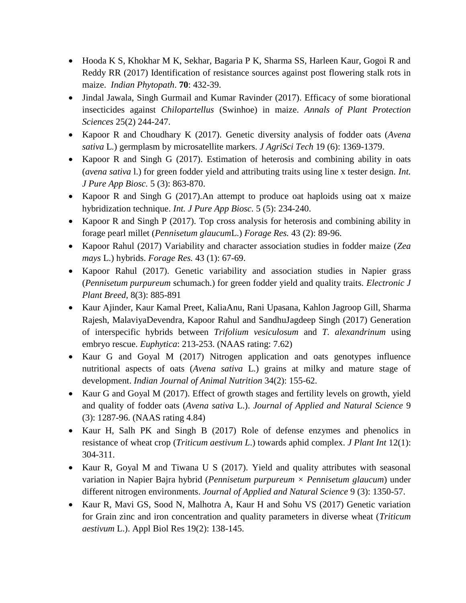- Hooda K S, Khokhar M K, Sekhar, Bagaria P K, Sharma SS, Harleen Kaur, Gogoi R and Reddy RR (2017) Identification of resistance sources against post flowering stalk rots in maize. *Indian Phytopath*. **70**: 432-39.
- Jindal Jawala, Singh Gurmail and Kumar Ravinder (2017). Efficacy of some biorational insecticides against *Chilopartellus* (Swinhoe) in maize. *Annals of Plant Protection Sciences* 25(2) 244-247.
- Kapoor R and Choudhary K (2017). Genetic diversity analysis of fodder oats (*Avena sativa* L.) germplasm by microsatellite markers. *J AgriSci Tech* 19 (6): 1369-1379.
- Kapoor R and Singh G (2017). Estimation of heterosis and combining ability in oats (*avena sativa* l.) for green fodder yield and attributing traits using line x tester design. *Int. J Pure App Biosc.* 5 (3): 863-870.
- Kapoor R and Singh G (2017). An attempt to produce oat haploids using oat x maize hybridization technique. *Int. J Pure App Biosc.* 5 (5): 234-240.
- Kapoor R and Singh P (2017). Top cross analysis for heterosis and combining ability in forage pearl millet (*Pennisetum glaucum*L.) *Forage Res.* 43 (2): 89-96.
- Kapoor Rahul (2017) Variability and character association studies in fodder maize (*Zea mays* L.) hybrids. *Forage Res.* 43 (1): 67-69.
- Kapoor Rahul (2017). Genetic variability and association studies in Napier grass (*Pennisetum purpureum* schumach.) for green fodder yield and quality traits. *Electronic J Plant Breed*, 8(3): 885-891
- Kaur Ajinder, Kaur Kamal Preet, KaliaAnu, Rani Upasana, Kahlon Jagroop Gill, Sharma Rajesh, MalaviyaDevendra, Kapoor Rahul and SandhuJagdeep Singh (2017) Generation of interspecific hybrids between *Trifolium vesiculosum* and *T. alexandrinum* using embryo rescue. *Euphytica*: 213-253. (NAAS rating: 7.62)
- Kaur G and Goyal M (2017) Nitrogen application and oats genotypes influence nutritional aspects of oats (*Avena sativa* L.) grains at milky and mature stage of development. *Indian Journal of Animal Nutrition* 34(2): 155-62.
- Kaur G and Goyal M (2017). Effect of growth stages and fertility levels on growth, yield and quality of fodder oats (*Avena sativa* L.). *Journal of Applied and Natural Science* 9 (3): 1287-96. (NAAS rating 4.84)
- Kaur H, Salh PK and Singh B (2017) Role of defense enzymes and phenolics in resistance of wheat crop (*Triticum aestivum L*.) towards aphid complex. *J Plant Int* 12(1): 304-311.
- Kaur R, Goyal M and Tiwana U S (2017). Yield and quality attributes with seasonal variation in Napier Bajra hybrid (*Pennisetum purpureum × Pennisetum glaucum*) under different nitrogen environments. *Journal of Applied and Natural Science* 9 (3): 1350-57.
- Kaur R, Mavi GS, Sood N, Malhotra A, Kaur H and Sohu VS (2017) Genetic variation for Grain zinc and iron concentration and quality parameters in diverse wheat (*Triticum aestivum* L.). Appl Biol Res 19(2): 138-145.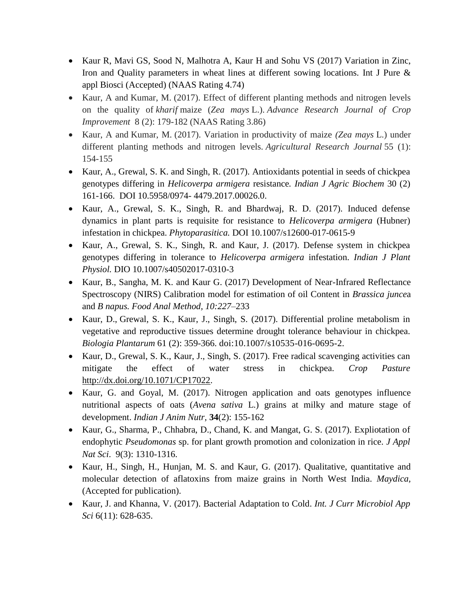- Kaur R, Mavi GS, Sood N, Malhotra A, Kaur H and Sohu VS (2017) Variation in Zinc, Iron and Quality parameters in wheat lines at different sowing locations. Int J Pure & appl Biosci (Accepted) (NAAS Rating 4.74)
- Kaur, A and Kumar, M. (2017). Effect of different planting methods and nitrogen levels on the quality of *kharif* maize (*Zea mays* L.). *Advance Research Journal of Crop Improvement* 8 (2): 179-182 (NAAS Rating 3.86)
- Kaur, A and Kumar, M. (2017). Variation in productivity of maize *(Zea mays* L.) under different planting methods and nitrogen levels. *Agricultural Research Journal* 55 (1): 154-155
- Kaur, A., Grewal, S. K. and Singh, R. (2017). Antioxidants potential in seeds of chickpea genotypes differing in *Helicoverpa armigera* resistance*. Indian J Agric Biochem* 30 (2) 161-166. DOI 10.5958/0974- 4479.2017.00026.0.
- Kaur, A., Grewal, S. K., Singh, R. and Bhardwaj, R. D. (2017). Induced defense dynamics in plant parts is requisite for resistance to *Helicoverpa armigera* (Hubner) infestation in chickpea. *Phytoparasitica.* DOI 10.1007/s12600-017-0615-9
- Kaur, A., Grewal, S. K., Singh, R. and Kaur, J. (2017). Defense system in chickpea genotypes differing in tolerance to *Helicoverpa armigera* infestation. *Indian J Plant Physiol.* DIO 10.1007/s40502017-0310-3
- Kaur, B., Sangha, M. K. and Kaur G. (2017) Development of Near-Infrared Reflectance Spectroscopy (NIRS) Calibration model for estimation of oil Content in *Brassica junce*a and *B napus. Food Anal Method, 10:227–*233
- Kaur, D., Grewal, S. K., Kaur, J., Singh, S. (2017). Differential proline metabolism in vegetative and reproductive tissues determine drought tolerance behaviour in chickpea. *Biologia Plantarum* 61 (2): 359-366. doi:10.1007/s10535-016-0695-2.
- Kaur, D., Grewal, S. K., Kaur, J., Singh, S. (2017). Free radical scavenging activities can mitigate the effect of water stress in chickpea. *Crop Pasture* [http://dx.doi.org/10.1071/CP17022.](http://dx.doi.org/10.1071/CP17022)
- Kaur, G. and Goyal, M. (2017). Nitrogen application and oats genotypes influence nutritional aspects of oats (*Avena sativa* L.) grains at milky and mature stage of development. *Indian J Anim Nutr,* **34**(2): 155-162
- Kaur, G., Sharma, P., Chhabra, D., Chand, K. and Mangat, G. S. (2017). Expliotation of endophytic *Pseudomonas* sp. for plant growth promotion and colonization in rice. *J Appl Nat Sci*. 9(3): 1310-1316.
- Kaur, H., Singh, H., Hunjan, M. S. and Kaur, G. (2017). Qualitative, quantitative and molecular detection of aflatoxins from maize grains in North West India. *Maydica,* (Accepted for publication).
- Kaur, J. and Khanna, V. (2017). Bacterial Adaptation to Cold. *Int. J Curr Microbiol App Sci* 6(11): 628-635.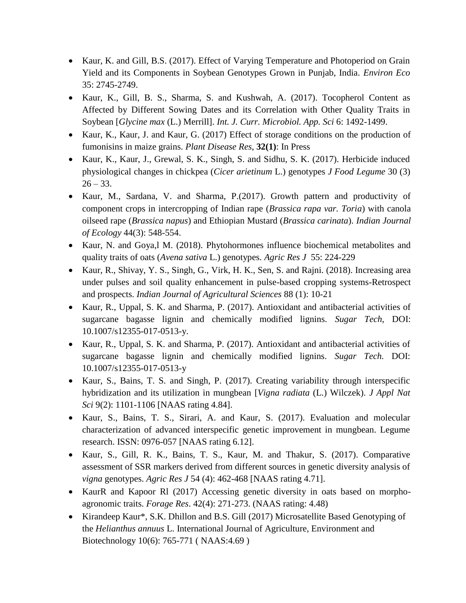- Kaur, K. and Gill, B.S. (2017). Effect of Varying Temperature and Photoperiod on Grain Yield and its Components in Soybean Genotypes Grown in Punjab, India. *Environ Eco*  35: 2745-2749.
- Kaur, K., Gill, B. S., Sharma, S. and Kushwah, A. (2017). Tocopherol Content as Affected by Different Sowing Dates and its Correlation with Other Quality Traits in Soybean [*Glycine max* (L.) Merrill]. *Int. J. Curr. Microbiol. App. Sci* 6: 1492-1499.
- Kaur, K., Kaur, J. and Kaur, G. (2017) Effect of storage conditions on the production of fumonisins in maize grains. *Plant Disease Res*, **32(1)**: In Press
- Kaur, K., Kaur, J., Grewal, S. K., Singh, S. and Sidhu, S. K. (2017). Herbicide induced physiological changes in chickpea (*Cicer arietinum* L.) genotypes *J Food Legume* 30 (3)  $26 - 33$ .
- Kaur, M., Sardana, V. and Sharma, P.(2017). Growth pattern and productivity of component crops in intercropping of Indian rape (*Brassica rapa var. Toria*) with canola oilseed rape (*Brassica napus*) and Ethiopian Mustard (*Brassica carinata*). *Indian Journal of Ecology* 44(3): 548-554.
- Kaur, N. and Goya,l M. (2018). Phytohormones influence biochemical metabolites and quality traits of oats (*Avena sativa* L.) genotypes. *Agric Res J* 55: 224-229
- Kaur, R., Shivay, Y. S., Singh, G., Virk, H. K., Sen, S. and Rajni. (2018). Increasing area under pulses and soil quality enhancement in pulse-based cropping systems-Retrospect and prospects. *Indian Journal of Agricultural Sciences* 88 (1): 10-21
- Kaur, R., Uppal, S. K. and Sharma, P. (2017). Antioxidant and antibacterial activities of sugarcane bagasse lignin and chemically modified lignins. *Sugar Tech,* DOI: 10.1007/s12355-017-0513-y.
- Kaur, R., Uppal, S. K. and Sharma, P. (2017). Antioxidant and antibacterial activities of sugarcane bagasse lignin and chemically modified lignins. *Sugar Tech.* DOI: 10.1007/s12355-017-0513-y
- Kaur, S., Bains, T. S. and Singh, P. (2017). Creating variability through interspecific hybridization and its utilization in mungbean [*Vigna radiata* (L.) Wilczek). *J Appl Nat Sci* 9(2): 1101-1106 [NAAS rating 4.84].
- Kaur, S., Bains, T. S., Sirari, A. and Kaur, S. (2017). Evaluation and molecular characterization of advanced interspecific genetic improvement in mungbean. Legume research. ISSN: 0976-057 [NAAS rating 6.12].
- Kaur, S., Gill, R. K., Bains, T. S., Kaur, M. and Thakur, S. (2017). Comparative assessment of SSR markers derived from different sources in genetic diversity analysis of *vigna* genotypes. *Agric Res J* 54 (4): 462-468 [NAAS rating 4.71].
- KaurR and Kapoor Rl (2017) Accessing genetic diversity in oats based on morphoagronomic traits. *Forage Res*. 42(4): 271-273. (NAAS rating: 4.48)
- Kirandeep Kaur\*, S.K. Dhillon and B.S. Gill (2017) Microsatellite Based Genotyping of the *Helianthus annuus* L. International Journal of Agriculture, Environment and Biotechnology 10(6): 765-771 ( NAAS:4.69 )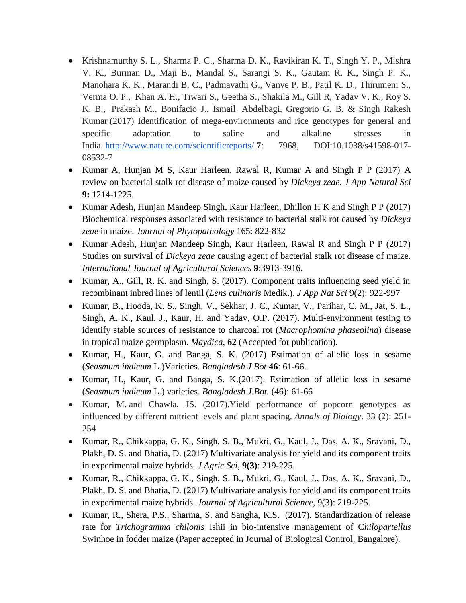- Krishnamurthy S. L., Sharma P. C., Sharma D. K., Ravikiran K. T., Singh Y. P., Mishra V. K., Burman D., Maji B., Mandal S., Sarangi S. K., Gautam R. K., Singh P. K., Manohara K. K., Marandi B. C., Padmavathi G., Vanve P. B., Patil K. D., Thirumeni S., Verma O. P., Khan A. H., Tiwari S., Geetha S., Shakila M., Gill R, Yadav V. K., Roy S. K. B., Prakash M., Bonifacio J., Ismail Abdelbagi, Gregorio G. B. & Singh Rakesh Kumar (2017) Identification of mega-environments and rice genotypes for general and specific adaptation to saline and alkaline stresses in India. <http://www.nature.com/scientificreports/> **7**: 7968, DOI:10.1038/s41598-017- 08532-7
- Kumar A, Hunjan M S, Kaur Harleen, Rawal R, Kumar A and Singh P P (2017) A review on bacterial stalk rot disease of maize caused by *Dickeya zeae. J App Natural Sci* **9:** 1214-1225.
- Kumar Adesh, Hunjan Mandeep Singh, Kaur Harleen, Dhillon H K and Singh P P (2017) Biochemical responses associated with resistance to bacterial stalk rot caused by *Dickeya zeae* in maize. *Journal of Phytopathology* 165: 822-832
- Kumar Adesh, Hunjan Mandeep Singh, Kaur Harleen, Rawal R and Singh P P (2017) Studies on survival of *Dickeya zeae* causing agent of bacterial stalk rot disease of maize. *International Journal of Agricultural Sciences* **9**:3913-3916.
- Kumar, A., Gill, R. K. and Singh, S. (2017). Component traits influencing seed yield in recombinant inbred lines of lentil (*Lens culinaris* Medik.). *J App Nat Sci* 9(2): 922-997
- Kumar, B., Hooda, K. S., Singh, V., Sekhar, J. C., Kumar, V., Parihar, C. M., Jat, S. L., Singh, A. K., Kaul, J., Kaur, H. and Yadav, O.P. (2017). Multi-environment testing to identify stable sources of resistance to charcoal rot (*Macrophomina phaseolina*) disease in tropical maize germplasm. *Maydica,* **62** (Accepted for publication).
- Kumar, H., Kaur, G. and Banga, S. K. (2017) Estimation of allelic loss in sesame (*Seasmum indicum* L.)Varieties. *Bangladesh J Bot* **46**: 61-66.
- Kumar, H., Kaur, G. and Banga, S. K.(2017). Estimation of allelic loss in sesame (*Seasmum indicum* L.) varieties. *Bangladesh J.Bot.* (46): 61-66
- Kumar, M. and Chawla, JS. (2017). Yield performance of popcorn genotypes as influenced by different nutrient levels and plant spacing. *Annals of Biology*. 33 (2): 251- 254
- Kumar, R., Chikkappa, G. K., Singh, S. B., Mukri, G., Kaul, J., Das, A. K., Sravani, D., Plakh, D. S. and Bhatia, D. (2017) Multivariate analysis for yield and its component traits in experimental maize hybrids. *J Agric Sci,* **9(3)**: 219-225.
- Kumar, R., Chikkappa, G. K., Singh, S. B., Mukri, G., Kaul, J., Das, A. K., Sravani, D., Plakh, D. S. and Bhatia, D. (2017) Multivariate analysis for yield and its component traits in experimental maize hybrids. *Journal of Agricultural Science,* 9(3): 219-225.
- Kumar, R., Shera, P.S., Sharma, S. and Sangha, K.S. (2017). Standardization of release rate for *Trichogramma chilonis* Ishii in bio-intensive management of C*hilopartellus*  Swinhoe in fodder maize (Paper accepted in Journal of Biological Control, Bangalore).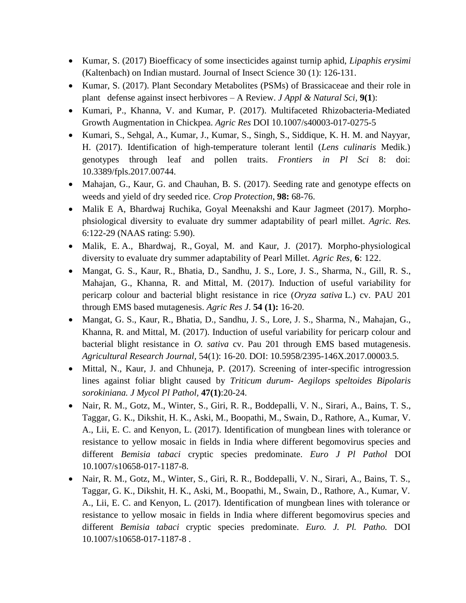- Kumar, S. (2017) Bioefficacy of some insecticides against turnip aphid, *Lipaphis erysimi*  (Kaltenbach) on Indian mustard. Journal of Insect Science 30 (1): 126-131.
- Kumar, S. (2017). Plant Secondary Metabolites (PSMs) of Brassicaceae and their role in plant defense against insect herbivores – A Review. *J Appl & Natural Sci,* **9(1**):
- Kumari, P., Khanna, V. and Kumar, P. (2017). Multifaceted Rhizobacteria-Mediated Growth Augmentation in Chickpea. *Agric Res* DOI 10.1007/s40003-017-0275-5
- Kumari, S., Sehgal, A., Kumar, J., Kumar, S., Singh, S., Siddique, K. H. M. and Nayyar, H. (2017). Identification of high-temperature tolerant lentil (*Lens culinaris* Medik.) genotypes through leaf and pollen traits. *Frontiers in Pl Sci* 8: doi: 10.3389/fpls.2017.00744.
- Mahajan, G., Kaur, G. and Chauhan, B. S. (2017). Seeding rate and genotype effects on weeds and yield of dry seeded rice. *Crop Protection*, **98:** 68-76.
- Malik E A, Bhardwaj Ruchika, Goyal Meenakshi and Kaur Jagmeet (2017). Morphophsiological diversity to evaluate dry summer adaptability of pearl millet. *Agric. Res.*  6:122-29 (NAAS rating: 5.90).
- Malik, E. A., Bhardwaj, R., Goyal, M. and Kaur, J. (2017). Morpho-physiological diversity to evaluate dry summer adaptability of Pearl Millet. *Agric Res,* **6**: 122.
- Mangat, G. S., Kaur, R., Bhatia, D., Sandhu, J. S., Lore, J. S., Sharma, N., Gill, R. S., Mahajan, G., Khanna, R. and Mittal, M. (2017). Induction of useful variability for pericarp colour and bacterial blight resistance in rice (*Oryza sativa* L.) cv. PAU 201 through EMS based mutagenesis. *Agric Res J*. **54 (1):** 16-20.
- Mangat, G. S., Kaur, R., Bhatia, D., Sandhu, J. S., Lore, J. S., Sharma, N., Mahajan, G., Khanna, R. and Mittal, M. (2017). Induction of useful variability for pericarp colour and bacterial blight resistance in *O. sativa* cv. Pau 201 through EMS based mutagenesis. *Agricultural Research Journal,* 54(1): 16-20. DOI: 10.5958/2395-146X.2017.00003.5.
- Mittal, N., Kaur, J. and Chhuneja, P. (2017). Screening of inter-specific introgression lines against foliar blight caused by *Triticum durum- Aegilops speltoides Bipolaris sorokiniana. J Mycol Pl Pathol,* **47(1)**:20-24.
- Nair, R. M., Gotz, M., Winter, S., Giri, R. R., Boddepalli, V. N., Sirari, A., Bains, T. S., Taggar, G. K., Dikshit, H. K., Aski, M., Boopathi, M., Swain, D., Rathore, A., Kumar, V. A., Lii, E. C. and Kenyon, L. (2017). Identification of mungbean lines with tolerance or resistance to yellow mosaic in fields in India where different begomovirus species and different *Bemisia tabaci* cryptic species predominate. *Euro J Pl Pathol* DOI 10.1007/s10658-017-1187-8.
- Nair, R. M., Gotz, M., Winter, S., Giri, R. R., Boddepalli, V. N., Sirari, A., Bains, T. S., Taggar, G. K., Dikshit, H. K., Aski, M., Boopathi, M., Swain, D., Rathore, A., Kumar, V. A., Lii, E. C. and Kenyon, L. (2017). Identification of mungbean lines with tolerance or resistance to yellow mosaic in fields in India where different begomovirus species and different *Bemisia tabaci* cryptic species predominate. *Euro. J. Pl. Patho.* DOI 10.1007/s10658-017-1187-8 .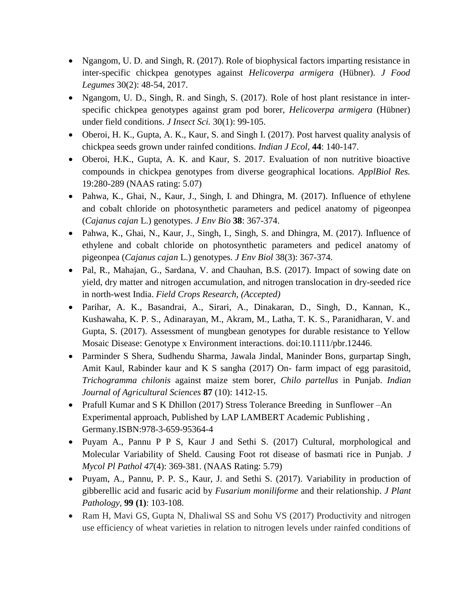- Ngangom, U. D. and Singh, R. (2017). Role of biophysical factors imparting resistance in inter-specific chickpea genotypes against *Helicoverpa armigera* (Hübner). *J Food Legumes* 30(2): 48-54, 2017.
- Ngangom, U. D., Singh, R. and Singh, S. (2017). Role of host plant resistance in interspecific chickpea genotypes against gram pod borer, *Helicoverpa armigera* (Hübner) under field conditions. *J Insect Sci.* 30(1): 99-105.
- Oberoi, H. K., Gupta, A. K., Kaur, S. and Singh I. (2017). Post harvest quality analysis of chickpea seeds grown under rainfed conditions. *Indian J Ecol,* **44**: 140-147.
- Oberoi, H.K., Gupta, A. K. and Kaur, S. 2017. Evaluation of non nutritive bioactive compounds in chickpea genotypes from diverse geographical locations. *ApplBiol Res.* 19:280-289 (NAAS rating: 5.07)
- Pahwa, K., Ghai, N., Kaur, J., Singh, I. and Dhingra, M. (2017). Influence of ethylene and cobalt chloride on photosynthetic parameters and pedicel anatomy of pigeonpea (*Cajanus cajan* L.) genotypes. *J Env Bio* **38**: 367-374.
- Pahwa, K., Ghai, N., Kaur, J., Singh, I., Singh, S. and Dhingra, M. (2017). Influence of ethylene and cobalt chloride on photosynthetic parameters and pedicel anatomy of pigeonpea (*Cajanus cajan* L.) genotypes. *J Env Biol* 38(3): 367-374.
- Pal, R., Mahajan, G., Sardana, V. and Chauhan, B.S. (2017). Impact of sowing date on yield, dry matter and nitrogen accumulation, and nitrogen translocation in dry-seeded rice in north-west India. *Field Crops Research, (Accepted)*
- Parihar, A. K., Basandrai, A., Sirari, A., Dinakaran, D., Singh, D., Kannan, K., Kushawaha, K. P. S., Adinarayan, M., Akram, M., Latha, T. K. S., Paranidharan, V. and Gupta, S. (2017). Assessment of mungbean genotypes for durable resistance to Yellow Mosaic Disease: Genotype x Environment interactions. doi:10.1111/pbr.12446.
- Parminder S Shera, Sudhendu Sharma, Jawala Jindal, Maninder Bons, gurpartap Singh, Amit Kaul, Rabinder kaur and K S sangha (2017) On- farm impact of egg parasitoid, *Trichogramma chilonis* against maize stem borer, *Chilo partellus* in Punjab. *Indian Journal of Agricultural Sciences* **87** (10): 1412-15.
- Prafull Kumar and S K Dhillon (2017) Stress Tolerance Breeding in Sunflower –An Experimental approach, Published by LAP LAMBERT Academic Publishing , Germany.ISBN:978-3-659-95364-4
- Puyam A., Pannu P P S, Kaur J and Sethi S. (2017) Cultural, morphological and Molecular Variability of Sheld. Causing Foot rot disease of basmati rice in Punjab. *J Mycol Pl Pathol 47*(4): 369-381. (NAAS Rating: 5.79)
- Puyam, A., Pannu, P. P. S., Kaur, J. and Sethi S. (2017). Variability in production of gibberellic acid and fusaric acid by *Fusarium moniliforme* and their relationship. *J Plant Pathology,* **99 (1)**: 103-108.
- Ram H, Mavi GS, Gupta N, Dhaliwal SS and Sohu VS (2017) Productivity and nitrogen use efficiency of wheat varieties in relation to nitrogen levels under rainfed conditions of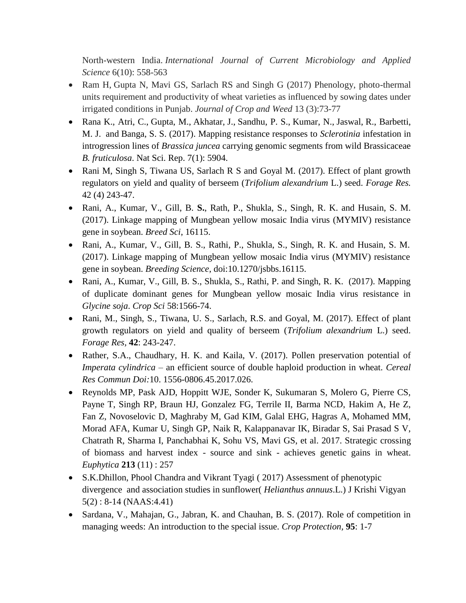North-western India. *International Journal of Current Microbiology and Applied Science* 6(10): 558-563

- Ram H, Gupta N, Mavi GS, Sarlach RS and Singh G (2017) Phenology, photo-thermal units requirement and productivity of wheat varieties as influenced by sowing dates under irrigated conditions in Punjab. *Journal of Crop and Weed* 13 (3):73-77
- Rana K., Atri, C., Gupta, M., Akhatar, J., Sandhu, P. S., Kumar, N., Jaswal, R., Barbetti, M. J. and Banga, S. S. (2017). Mapping resistance responses to *Sclerotinia* infestation in introgression lines of *Brassica juncea* carrying genomic segments from wild Brassicaceae *B. fruticulosa*. Nat Sci. Rep. 7(1): 5904.
- Rani M, Singh S, Tiwana US, Sarlach R S and Goyal M. (2017). Effect of plant growth regulators on yield and quality of berseem (*Trifolium alexandrium* L.) seed. *Forage Res.*  42 (4) 243-47.
- Rani, A., Kumar, V., Gill, B. **S.**, Rath, P., Shukla, S., Singh, R. K. and Husain, S. M. (2017). Linkage mapping of Mungbean yellow mosaic India virus (MYMIV) resistance gene in soybean. *Breed Sci*, 16115.
- Rani, A., Kumar, V., Gill, B. S., Rathi, P., Shukla, S., Singh, R. K. and Husain, S. M. (2017). Linkage mapping of Mungbean yellow mosaic India virus (MYMIV) resistance gene in soybean. *Breeding Science*, doi:10.1270/jsbbs.16115.
- Rani, A., Kumar, V., Gill, B. S., Shukla, S., Rathi, P. and Singh, R. K. (2017). Mapping of duplicate dominant genes for Mungbean yellow mosaic India virus resistance in *Glycine soja*. *Crop Sci* 58:1566-74.
- Rani, M., Singh, S., Tiwana, U. S., Sarlach, R.S. and Goyal, M. (2017). Effect of plant growth regulators on yield and quality of berseem (*Trifolium alexandrium* L.) seed. *Forage Res,* **42**: 243-247.
- Rather, S.A., Chaudhary, H. K. and Kaila, V. (2017). Pollen preservation potential of *Imperata cylindrica* – an efficient source of double haploid production in wheat. *Cereal Res Commun Doi:*10. 1556-0806.45.2017.026.
- Reynolds MP, Pask AJD, Hoppitt WJE, Sonder K, Sukumaran S, Molero G, Pierre CS, Payne T, Singh RP, Braun HJ, Gonzalez FG, Terrile II, Barma NCD, Hakim A, He Z, Fan Z, Novoselovic D, Maghraby M, Gad KIM, Galal EHG, Hagras A, Mohamed MM, Morad AFA, Kumar U, Singh GP, Naik R, Kalappanavar IK, Biradar S, Sai Prasad S V, Chatrath R, Sharma I, Panchabhai K, Sohu VS, Mavi GS, et al. 2017. Strategic crossing of biomass and harvest index - source and sink - achieves genetic gains in wheat. *Euphytica* **213** (11) : 257
- S.K.Dhillon, Phool Chandra and Vikrant Tyagi ( 2017) Assessment of phenotypic divergence and association studies in sunflower( *Helianthus annuus*.L.) J Krishi Vigyan 5(2) : 8-14 (NAAS:4.41)
- Sardana, V., Mahajan, G., Jabran, K. and Chauhan, B. S. (2017). Role of competition in managing weeds: An introduction to the special issue. *Crop Protection,* **95**: 1-7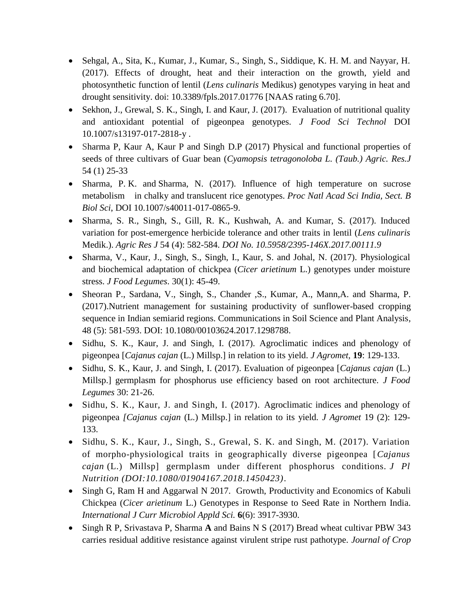- Sehgal, A., Sita, K., Kumar, J., Kumar, S., Singh, S., Siddique, K. H. M. and Nayyar, H. (2017). Effects of drought, heat and their interaction on the growth, yield and photosynthetic function of lentil (*Lens culinaris* Medikus) genotypes varying in heat and drought sensitivity. doi: 10.3389/fpls.2017.01776 [NAAS rating 6.70].
- Sekhon, J., Grewal, S. K., Singh, I. and Kaur, J. (2017). Evaluation of nutritional quality and antioxidant potential of pigeonpea genotypes. *J Food Sci Technol* DOI 10.1007/s13197-017-2818-y .
- Sharma P, Kaur A, Kaur P and Singh D.P (2017) Physical and functional properties of seeds of three cultivars of Guar bean (*Cyamopsis tetragonoloba L. (Taub.) Agric. Res.J* 54 (1) 25-33
- Sharma, P. K. and Sharma, N. (2017). Influence of high temperature on sucrose metabolism in chalky and translucent rice genotypes. *Proc Natl Acad Sci India, Sect. B Biol Sci*, DOI 10.1007/s40011-017-0865-9.
- Sharma, S. R., Singh, S., Gill, R. K., Kushwah, A. and Kumar, S. (2017). Induced variation for post-emergence herbicide tolerance and other traits in lentil (*Lens culinaris*  Medik.). *Agric Res J* 54 (4): 582-584. *DOI No. 10.5958/2395-146X.2017.00111.9*
- Sharma, V., Kaur, J., Singh, S., Singh, I., Kaur, S. and Johal, N. (2017). Physiological and biochemical adaptation of chickpea (*Cicer arietinum* L.) genotypes under moisture stress. *J Food Legumes*. 30(1): 45-49.
- Sheoran P., Sardana, V., Singh, S., Chander ,S., Kumar, A., Mann,A. and Sharma, P. (2017).Nutrient management for sustaining productivity of sunflower-based cropping sequence in Indian semiarid regions. Communications in Soil Science and Plant Analysis*,* 48 (5): 581-593. DOI: 10.1080/00103624.2017.1298788.
- Sidhu, S. K., Kaur, J. and Singh, I. (2017). Agroclimatic indices and phenology of pigeonpea [*Cajanus cajan* (L.) Millsp.] in relation to its yield. *J Agromet,* **19**: 129-133.
- Sidhu, S. K., Kaur, J. and Singh, I. (2017). Evaluation of pigeonpea [*Cajanus cajan* (L.) Millsp.] germplasm for phosphorus use efficiency based on root architecture. *J Food Legumes* 30: 21-26.
- Sidhu, S. K., Kaur, J. and Singh, I. (2017). Agroclimatic indices and phenology of pigeonpea *[Cajanus cajan* (L.) Millsp.] in relation to its yield*. J Agromet* 19 (2): 129- 133.
- Sidhu, S. K., Kaur, J., Singh, S., Grewal, S. K. and Singh, M. (2017). Variation of morpho-physiological traits in geographically diverse pigeonpea [*Cajanus cajan* (L.) Millsp] germplasm under different phosphorus conditions. *J Pl Nutrition (DOI:10.1080/01904167.2018.1450423)*.
- Singh G, Ram H and Aggarwal N 2017. Growth, Productivity and Economics of Kabuli Chickpea (*Cicer arietinum* L.) Genotypes in Response to Seed Rate in Northern India. *International J Curr Microbiol Appld Sci.* **6**(6): 3917-3930.
- Singh R P, Srivastava P, Sharma **A** and Bains N S (2017) Bread wheat cultivar PBW 343 carries residual additive resistance against virulent stripe rust pathotype. *Journal of Crop*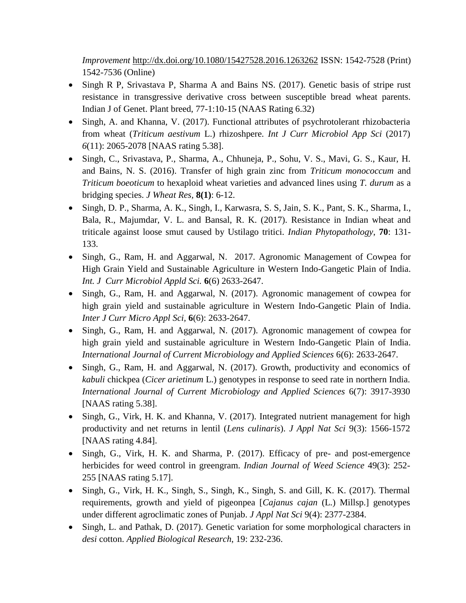*Improvement* <http://dx.doi.org/10.1080/15427528.2016.1263262> ISSN: 1542-7528 (Print) 1542-7536 (Online)

- Singh R P, Srivastava P, Sharma A and Bains NS. (2017). Genetic basis of stripe rust resistance in transgressive derivative cross between susceptible bread wheat parents. Indian J of Genet. Plant breed, 77-1:10-15 (NAAS Rating 6.32)
- Singh, A. and Khanna, V. (2017). Functional attributes of psychrotolerant rhizobacteria from wheat (*Triticum aestivum* L.) rhizoshpere. *Int J Curr Microbiol App Sci* (2017) *6*(11): 2065-2078 [NAAS rating 5.38].
- Singh, C., Srivastava, P., Sharma, A., Chhuneja, P., Sohu, V. S., Mavi, G. S., Kaur, H. and Bains, N. S. (2016). Transfer of high grain zinc from *Triticum monococcum* and *Triticum boeoticum* to hexaploid wheat varieties and advanced lines using *T. durum* as a bridging species. *J Wheat Res,* **8(1)**: 6-12.
- Singh, D. P., Sharma, A. K., Singh, I., Karwasra, S. S, Jain, S. K., Pant, S. K., Sharma, I., Bala, R., Majumdar, V. L. and Bansal, R. K. (2017). Resistance in Indian wheat and triticale against loose smut caused by Ustilago tritici. *Indian Phytopathology*, **70**: 131- 133.
- Singh, G., Ram, H. and Aggarwal, N. 2017. Agronomic Management of Cowpea for High Grain Yield and Sustainable Agriculture in Western Indo-Gangetic Plain of India. *Int. J Curr Microbiol Appld Sci.* **6**(6) 2633-2647.
- Singh, G., Ram, H. and Aggarwal, N. (2017). Agronomic management of cowpea for high grain yield and sustainable agriculture in Western Indo-Gangetic Plain of India. *Inter J Curr Micro Appl Sci,* **6**(6): 2633-2647.
- Singh, G., Ram, H. and Aggarwal, N. (2017). Agronomic management of cowpea for high grain yield and sustainable agriculture in Western Indo-Gangetic Plain of India. *International Journal of Current Microbiology and Applied Sciences* 6(6): 2633-2647.
- Singh, G., Ram, H. and Aggarwal, N. (2017). Growth, productivity and economics of *kabuli* chickpea (*Cicer arietinum* L.) genotypes in response to seed rate in northern India. *International Journal of Current Microbiology and Applied Sciences* 6(7): 3917-3930 [NAAS rating 5.38].
- Singh, G., Virk, H. K. and Khanna, V. (2017). Integrated nutrient management for high productivity and net returns in lentil (*Lens culinaris*). *J Appl Nat Sci* 9(3): 1566-1572 [NAAS rating 4.84].
- Singh, G., Virk, H. K. and Sharma, P. (2017). Efficacy of pre- and post-emergence herbicides for weed control in greengram. *Indian Journal of Weed Science* 49(3): 252- 255 [NAAS rating 5.17].
- Singh, G., Virk, H. K., Singh, S., Singh, K., Singh, S. and Gill, K. K. (2017). Thermal requirements, growth and yield of pigeonpea [*Cajanus cajan* (L.) Millsp.] genotypes under different agroclimatic zones of Punjab. *J Appl Nat Sci* 9(4): 2377-2384.
- Singh, L. and Pathak, D. (2017). Genetic variation for some morphological characters in *desi* cotton. *Applied Biological Research*, 19: 232-236.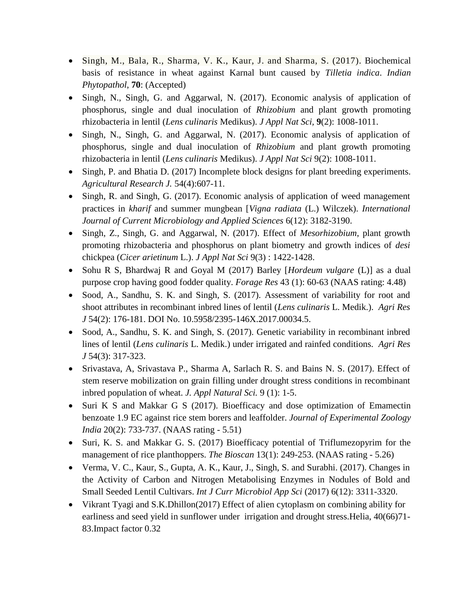- Singh, M., Bala, R., Sharma, V. K., Kaur, J. and Sharma, S. (2017). Biochemical basis of resistance in wheat against Karnal bunt caused by *Tilletia indica*. *Indian Phytopathol*, **70**: (Accepted)
- Singh, N., Singh, G. and Aggarwal, N. (2017). Economic analysis of application of phosphorus, single and dual inoculation of *Rhizobium* and plant growth promoting rhizobacteria in lentil (*Lens culinaris* Medikus). *J Appl Nat Sci,* **9**(2): 1008-1011.
- Singh, N., Singh, G. and Aggarwal, N. (2017). Economic analysis of application of phosphorus, single and dual inoculation of *Rhizobium* and plant growth promoting rhizobacteria in lentil (*Lens culinaris* Medikus). *J Appl Nat Sci* 9(2): 1008-1011.
- Singh, P. and Bhatia D. (2017) Incomplete block designs for plant breeding experiments. *Agricultural Research J.* 54(4):607-11.
- Singh, R. and Singh, G. (2017). Economic analysis of application of weed management practices in *kharif* and summer mungbean [*Vigna radiata* (L.) Wilczek). *International Journal of Current Microbiology and Applied Sciences* 6(12): 3182-3190.
- Singh, Z., Singh, G. and Aggarwal, N. (2017). Effect of *Mesorhizobium*, plant growth promoting rhizobacteria and phosphorus on plant biometry and growth indices of *desi* chickpea (*Cicer arietinum* L.). *J Appl Nat Sci* 9(3) : 1422-1428.
- Sohu R S, Bhardwaj R and Goyal M (2017) Barley [*Hordeum vulgare* (L)] as a dual purpose crop having good fodder quality. *Forage Res* 43 (1): 60-63 (NAAS rating: 4.48)
- Sood, A., Sandhu, S. K. and Singh, S. (2017). Assessment of variability for root and shoot attributes in recombinant inbred lines of lentil (*Lens culinaris* L. Medik.). *Agri Res J* 54(2): 176-181. DOI No. 10.5958/2395-146X.2017.00034.5.
- Sood, A., Sandhu, S. K. and Singh, S. (2017). Genetic variability in recombinant inbred lines of lentil (*Lens culinaris* L. Medik.) under irrigated and rainfed conditions. *Agri Res J* 54(3): 317-323.
- Srivastava, A, Srivastava P., Sharma A, Sarlach R. S. and Bains N. S. (2017). Effect of stem reserve mobilization on grain filling under drought stress conditions in recombinant inbred population of wheat. *J. Appl Natural Sci.* 9 (1): 1-5.
- Suri K S and Makkar G S (2017). Bioefficacy and dose optimization of Emamectin benzoate 1.9 EC against rice stem borers and leaffolder. *Journal of Experimental Zoology India* 20(2): 733-737. (NAAS rating - 5.51)
- Suri, K. S. and Makkar G. S. (2017) Bioefficacy potential of Triflumezopyrim for the management of rice planthoppers. *The Bioscan* 13(1): 249-253. (NAAS rating - 5.26)
- Verma, V. C., Kaur, S., Gupta, A. K., Kaur, J., Singh, S. and Surabhi. (2017). Changes in the Activity of Carbon and Nitrogen Metabolising Enzymes in Nodules of Bold and Small Seeded Lentil Cultivars. *Int J Curr Microbiol App Sci* (2017) 6(12): 3311-3320.
- Vikrant Tyagi and S.K.Dhillon(2017) Effect of alien cytoplasm on combining ability for earliness and seed yield in sunflower under irrigation and drought stress.Helia, 40(66)71- 83.Impact factor 0.32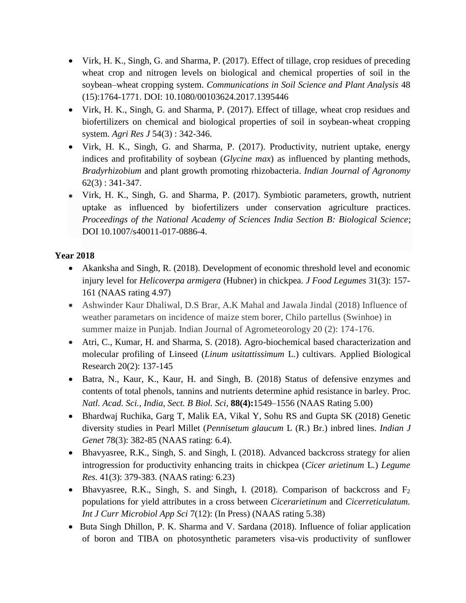- Virk, H. K., Singh, G. and Sharma, P. (2017). Effect of tillage, crop residues of preceding wheat crop and nitrogen levels on biological and chemical properties of soil in the soybean–wheat cropping system. *Communications in Soil Science and Plant Analysis* 48 (15):1764-1771. DOI: 10.1080/00103624.2017.1395446
- Virk, H. K., Singh, G. and Sharma, P. (2017). Effect of tillage, wheat crop residues and biofertilizers on chemical and biological properties of soil in soybean-wheat cropping system. *Agri Res J* 54(3) : 342-346.
- Virk, H. K., Singh, G. and Sharma, P. (2017). Productivity, nutrient uptake, energy indices and profitability of soybean (*Glycine max*) as influenced by planting methods, *Bradyrhizobium* and plant growth promoting rhizobacteria. *Indian Journal of Agronomy*  62(3) : 341-347.
- Virk, H. K., Singh, G. and Sharma, P. (2017). Symbiotic parameters, growth, nutrient uptake as influenced by biofertilizers under conservation agriculture practices. *Proceedings of the National Academy of Sciences India Section B: Biological Science*; DOI 10.1007/s40011-017-0886-4.

### **Year 2018**

- Akanksha and Singh, R. (2018). Development of economic threshold level and economic injury level for *Helicoverpa armigera* (Hubner) in chickpea. *J Food Legumes* 31(3): 157- 161 (NAAS rating 4.97)
- Ashwinder Kaur Dhaliwal, D.S. Brar, A.K. Mahal and Jawala Jindal (2018) Influence of weather parametars on incidence of maize stem borer, Chilo partellus (Swinhoe) in summer maize in Punjab. Indian Journal of Agrometeorology 20 (2): 174-176.
- Atri, C., Kumar, H. and Sharma, S. (2018). Agro-biochemical based characterization and molecular profiling of Linseed (*Linum usitattissimum* L.) cultivars. Applied Biological Research 20(2): 137-145
- Batra, N., Kaur, K., Kaur, H. and Singh, B. (2018) Status of defensive enzymes and contents of total phenols, tannins and nutrients determine aphid resistance in barley. Proc*. Natl. Acad. Sci., India, Sect. B Biol. Sci*, **88(4):**1549–1556 (NAAS Rating 5.00)
- Bhardwaj Ruchika, Garg T, Malik EA, Vikal Y, Sohu RS and Gupta SK (2018) Genetic diversity studies in Pearl Millet (*Pennisetum glaucum* L (R.) Br.) inbred lines. *Indian J Genet* 78(3): 382-85 (NAAS rating: 6.4).
- Bhavyasree, R.K., Singh, S. and Singh, I. (2018). Advanced backcross strategy for alien introgression for productivity enhancing traits in chickpea (*Cicer arietinum* L.) *Legume Res.* 41(3): 379-383. (NAAS rating: 6.23)
- Bhavyasree, R.K., Singh, S. and Singh, I. (2018). Comparison of backcross and  $F_2$ populations for yield attributes in a cross between *Cicerarietinum* and *Cicerreticulatum. Int J Curr Microbiol App Sci* 7(12): (In Press) (NAAS rating 5.38)
- Buta Singh Dhillon, P. K. Sharma and V. Sardana (2018). Influence of foliar application of boron and TIBA on photosynthetic parameters visa-vis productivity of sunflower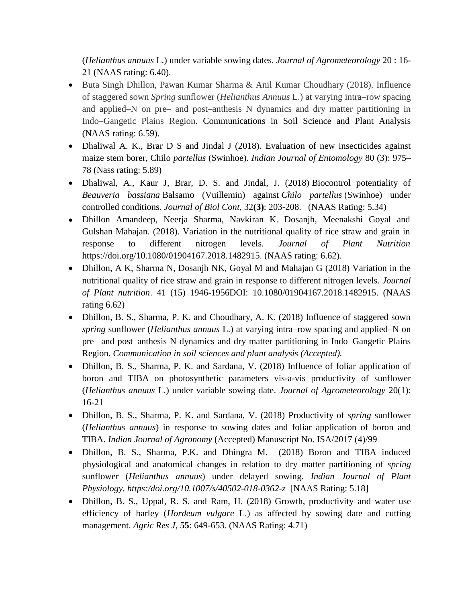(*Helianthus annuus* L.) under variable sowing dates. *Journal of Agrometeorology* 20 : 16- 21 (NAAS rating: 6.40).

- Buta Singh Dhillon, Pawan Kumar Sharma & Anil Kumar Choudhary (2018). Influence of staggered sown *Spring* sunflower (*Helianthus Annuus* L.) at varying intra–row spacing and applied–N on pre– and post–anthesis N dynamics and dry matter partitioning in Indo–Gangetic Plains Region. Communications in Soil Science and Plant Analysis (NAAS rating: 6.59).
- Dhaliwal A. K., Brar D S and Jindal J (2018). Evaluation of new insecticides against maize stem borer, Chilo *partellus* (Swinhoe). *Indian Journal of Entomology* 80 (3): 975– 78 (Nass rating: 5.89)
- Dhaliwal, A., Kaur J, Brar, D. S. and Jindal, J. (2018) Biocontrol potentiality of *Beauveria bassiana* Balsamo (Vuillemin) against *Chilo partellus* (Swinhoe) under controlled conditions. *Journal of Biol Cont*, 32**(3)**: 203-208. (NAAS Rating: 5.34)
- Dhillon Amandeep, Neerja Sharma, Navkiran K. Dosanjh, Meenakshi Goyal and Gulshan Mahajan. (2018). Variation in the nutritional quality of rice straw and grain in response to different nitrogen levels. *Journal of Plant Nutrition* https://doi.org/10.1080/01904167.2018.1482915. (NAAS rating: 6.62).
- Dhillon, A K, Sharma N, Dosanjh NK, Goyal M and Mahajan G (2018) Variation in the nutritional quality of rice straw and grain in response to different nitrogen levels. *Journal of Plant nutrition*. 41 (15) 1946-1956DOI: 10.1080/01904167.2018.1482915. (NAAS rating 6.62)
- Dhillon, B. S., Sharma, P. K. and Choudhary, A. K. (2018) Influence of staggered sown *spring* sunflower (*Helianthus annuus* L.) at varying intra–row spacing and applied–N on pre– and post–anthesis N dynamics and dry matter partitioning in Indo–Gangetic Plains Region. *Communication in soil sciences and plant analysis (Accepted).*
- Dhillon, B. S., Sharma, P. K. and Sardana, V. (2018) Influence of foliar application of boron and TIBA on photosynthetic parameters vis-a-vis productivity of sunflower (*Helianthus annuus* L.) under variable sowing date. *Journal of Agrometeorology* 20(1): 16-21
- Dhillon, B. S., Sharma, P. K. and Sardana, V. (2018) Productivity of *spring* sunflower (*Helianthus annuus*) in response to sowing dates and foliar application of boron and TIBA. *Indian Journal of Agronomy* (Accepted) Manuscript No. ISA/2017 (4)/99
- Dhillon, B. S., Sharma, P.K. and Dhingra M. (2018) Boron and TIBA induced physiological and anatomical changes in relation to dry matter partitioning of *spring* sunflower (*Helianthus annuus*) under delayed sowing*. Indian Journal of Plant Physiology. https:/doi.org/10.1007/s/40502-018-0362-z* [NAAS Rating: 5.18]
- Dhillon, B. S., Uppal, R. S. and Ram, H. (2018) Growth, productivity and water use efficiency of barley (*Hordeum vulgare* L.) as affected by sowing date and cutting management. *Agric Res J*, **55**: 649-653. (NAAS Rating: 4.71)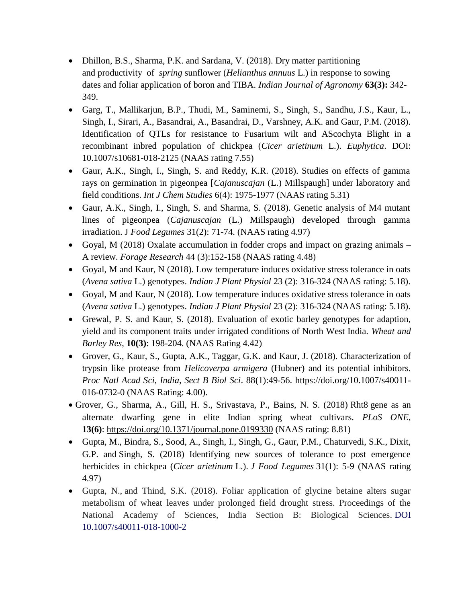- Dhillon, B.S., Sharma, P.K. and Sardana, V. (2018). Dry matter partitioning and productivity of *spring* sunflower (*Helianthus annuus* L.) in response to sowing dates and foliar application of boron and TIBA. *Indian Journal of Agronomy* **63(3):** 342- 349.
- Garg, T., Mallikarjun, B.P., Thudi, M., Saminemi, S., Singh, S., Sandhu, J.S., Kaur, L., Singh, I., Sirari, A., Basandrai, A., Basandrai, D., Varshney, A.K. and Gaur, P.M. (2018). Identification of QTLs for resistance to Fusarium wilt and AScochyta Blight in a recombinant inbred population of chickpea (*Cicer arietinum* L.). *Euphytica*. DOI: 10.1007/s10681-018-2125 (NAAS rating 7.55)
- Gaur, A.K., Singh, I., Singh, S. and Reddy, K.R. (2018). Studies on effects of gamma rays on germination in pigeonpea [*Cajanuscajan* (L.) Millspaugh] under laboratory and field conditions. *Int J Chem Studies* 6(4): 1975-1977 (NAAS rating 5.31)
- Gaur, A.K., Singh, I., Singh, S. and Sharma, S. (2018). Genetic analysis of M4 mutant lines of pigeonpea (*Cajanuscajan* (L.) Millspaugh) developed through gamma irradiation. J *Food Legumes* 31(2): 71-74. (NAAS rating 4.97)
- Goyal, M (2018) Oxalate accumulation in fodder crops and impact on grazing animals A review. *Forage Research* 44 (3):152-158 (NAAS rating 4.48)
- Goyal, M and Kaur, N (2018). Low temperature induces oxidative stress tolerance in oats (*Avena sativa* L.) genotypes. *Indian J Plant Physiol* 23 (2): 316-324 (NAAS rating: 5.18).
- Goyal, M and Kaur, N (2018). Low temperature induces oxidative stress tolerance in oats (*Avena sativa* L.) genotypes. *Indian J Plant Physiol* 23 (2): 316-324 (NAAS rating: 5.18).
- Grewal, P. S. and Kaur, S. (2018). Evaluation of exotic barley genotypes for adaption, yield and its component traits under irrigated conditions of North West India. *Wheat and Barley Res*, **10(3)**: 198-204. (NAAS Rating 4.42)
- Grover, G., Kaur, S., Gupta, A.K., Taggar, G.K. and Kaur, J. (2018). Characterization of trypsin like protease from *Helicoverpa armigera* (Hubner) and its potential inhibitors. *Proc Natl Acad Sci, India, Sect B Biol Sci*. 88(1):49-56. https://doi.org/10.1007/s40011- 016-0732-0 (NAAS Rating: 4.00).
- Grover, G., Sharma, A., Gill, H. S., Srivastava, P., Bains, N. S. (2018) Rht8 gene as an alternate dwarfing gene in elite Indian spring wheat cultivars. *PLoS ONE*, **13(6)**: https://doi.org/10.1371/journal.pone.0199330 (NAAS rating: 8.81)
- Gupta, M., Bindra, S., Sood, A., Singh, I., Singh, G., Gaur, P.M., Chaturvedi, S.K., Dixit, G.P. and Singh, S. (2018) Identifying new sources of tolerance to post emergence herbicides in chickpea (*Cicer arietinum* L.). *J Food Legumes* 31(1): 5-9 (NAAS rating 4.97)
- Gupta, N., and Thind, S.K. (2018). Foliar application of glycine betaine alters sugar metabolism of wheat leaves under prolonged field drought stress. Proceedings of the National Academy of Sciences, India Section B: Biological Sciences. DOI 10.1007/s40011-018-1000-2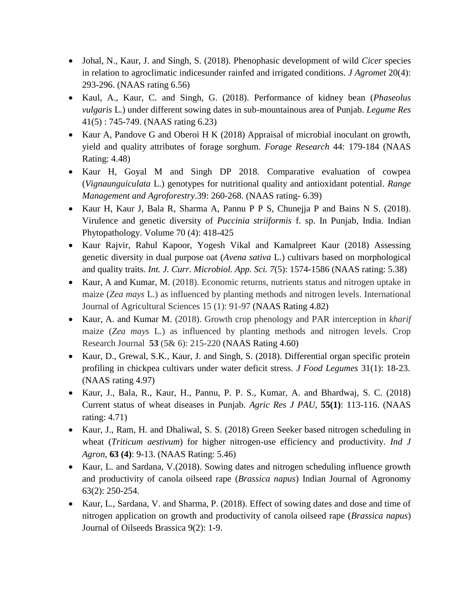- Johal, N., Kaur, J. and Singh, S. (2018). Phenophasic development of wild *Cicer* species in relation to agroclimatic indicesunder rainfed and irrigated conditions. *J Agromet* 20(4): 293-296. (NAAS rating 6.56)
- Kaul, A., Kaur, C. and Singh, G. (2018). Performance of kidney bean (*Phaseolus vulgaris* L.) under different sowing dates in sub-mountainous area of Punjab. *Legume Res* 41(5) : 745-749. (NAAS rating 6.23)
- Kaur A, Pandove G and Oberoi H K (2018) Appraisal of microbial inoculant on growth, yield and quality attributes of forage sorghum. *Forage Research* 44: 179-184 (NAAS Rating: 4.48)
- Kaur H, Goyal M and Singh DP 2018. Comparative evaluation of cowpea (*Vignaunguiculata* L.) genotypes for nutritional quality and antioxidant potential. *Range Management and Agroforestry*.39: 260-268. (NAAS rating- 6.39)
- Kaur H, Kaur J, Bala R, Sharma A, Pannu P P S, Chunejja P and Bains N S. (2018). Virulence and genetic diversity of *Puccinia striiformis* f. sp. In Punjab, India. Indian Phytopathology. Volume 70 (4): 418-425
- Kaur Rajvir, Rahul Kapoor, Yogesh Vikal and Kamalpreet Kaur (2018) Assessing genetic diversity in dual purpose oat (*Avena sativa* L.) cultivars based on morphological and quality traits. *Int. J. Curr. Microbiol. App. Sci. 7*(5): 1574-1586 (NAAS rating: 5.38)
- Kaur, A and Kumar, M. (2018). Economic returns, nutrients status and nitrogen uptake in maize (*Zea mays* L.) as influenced by planting methods and nitrogen levels. International Journal of Agricultural Sciences 15 (1): 91-97 (NAAS Rating 4.82)
- Kaur, A. and Kumar M. (2018). Growth crop phenology and PAR interception in *kharif* maize (*Zea mays* L.) as influenced by planting methods and nitrogen levels. Crop Research Journal **53** (5& 6): 215-220 (NAAS Rating 4.60)
- Kaur, D., Grewal, S.K., Kaur, J. and Singh, S. (2018). Differential organ specific protein profiling in chickpea cultivars under water deficit stress. *J Food Legumes* 31(1): 18-23. (NAAS rating 4.97)
- Kaur, J., Bala, R., Kaur, H., Pannu, P. P. S., Kumar, A. and Bhardwaj, S. C. (2018) Current status of wheat diseases in Punjab. *Agric Res J PAU*, **55(1)**: 113-116. (NAAS rating: 4.71)
- Kaur, J., Ram, H. and Dhaliwal, S. S. (2018) Green Seeker based nitrogen scheduling in wheat (*Triticum aestivum*) for higher nitrogen-use efficiency and productivity. *Ind J Agron*, **63 (4)**: 9-13. (NAAS Rating: 5.46)
- Kaur, L. and Sardana, V.(2018). Sowing dates and nitrogen scheduling influence growth and productivity of canola oilseed rape (*Brassica napus*) Indian Journal of Agronomy 63(2): 250-254.
- Kaur, L., Sardana, V. and Sharma, P. (2018). Effect of sowing dates and dose and time of nitrogen application on growth and productivity of canola oilseed rape (*Brassica napus*) Journal of Oilseeds Brassica 9(2): 1-9.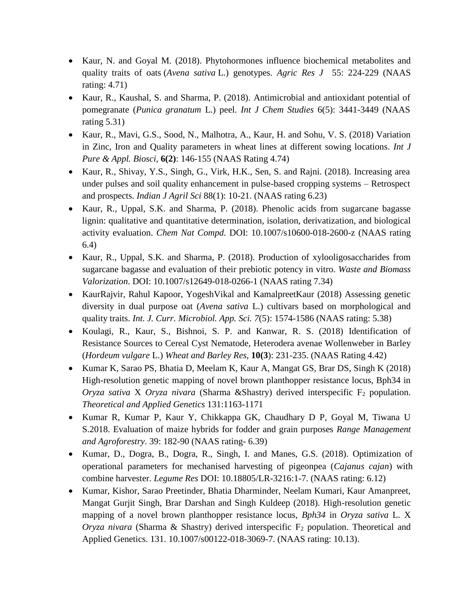- Kaur, N. and Goyal M. (2018). Phytohormones influence biochemical metabolites and quality traits of oats (*Avena sativa* L.) genotypes. *Agric Res J* 55: 224-229 (NAAS rating: 4.71)
- Kaur, R., Kaushal, S. and Sharma, P. (2018). Antimicrobial and antioxidant potential of pomegranate (*Punica granatum* L.) peel. *Int J Chem Studies* 6(5): 3441-3449 (NAAS rating 5.31)
- Kaur, R., Mavi, G.S., Sood, N., Malhotra, A., Kaur, H. and Sohu, V. S. (2018) Variation in Zinc, Iron and Quality parameters in wheat lines at different sowing locations. *Int J Pure & Appl. Biosci*, **6(2)**: 146-155 (NAAS Rating 4.74)
- Kaur, R., Shivay, Y.S., Singh, G., Virk, H.K., Sen, S. and Rajni. (2018). Increasing area under pulses and soil quality enhancement in pulse-based cropping systems – Retrospect and prospects. *Indian J Agril Sci* 88(1): 10-21. (NAAS rating 6.23)
- Kaur, R., Uppal, S.K. and Sharma, P. (2018). Phenolic acids from sugarcane bagasse lignin: qualitative and quantitative determination, isolation, derivatization, and biological activity evaluation. *Chem Nat Compd.* DOI: 10.1007/s10600-018-2600-z (NAAS rating 6.4)
- Kaur, R., Uppal, S.K. and Sharma, P. (2018). Production of xylooligosaccharides from sugarcane bagasse and evaluation of their prebiotic potency in vitro. *Waste and Biomass Valorization*. DOI: 10.1007/s12649-018-0266-1 (NAAS rating 7.34)
- KaurRajvir, Rahul Kapoor, YogeshVikal and KamalpreetKaur (2018) Assessing genetic diversity in dual purpose oat (*Avena sativa* L.) cultivars based on morphological and quality traits. *Int. J. Curr. Microbiol. App. Sci. 7*(5): 1574-1586 (NAAS rating: 5.38)
- Koulagi, R., Kaur, S., Bishnoi, S. P. and Kanwar, R. S. (2018) Identification of Resistance Sources to Cereal Cyst Nematode, Heterodera avenae Wollenweber in Barley (*Hordeum vulgare* L.) *Wheat and Barley Res*, **10(3**): 231-235. (NAAS Rating 4.42)
- Kumar K, Sarao PS, Bhatia D, Meelam K, Kaur A, Mangat GS, Brar DS, Singh K (2018) High-resolution genetic mapping of novel brown planthopper resistance locus, Bph34 in *Oryza sativa* X *Oryza nivara* (Sharma &Shastry) derived interspecific F<sub>2</sub> population. *Theoretical and Applied Genetics* 131:1163-1171
- Kumar R, Kumar P, Kaur Y, Chikkappa GK, Chaudhary D P, Goyal M, Tiwana U S.2018. Evaluation of maize hybrids for fodder and grain purposes *Range Management and Agroforestry*. 39: 182-90 (NAAS rating- 6.39)
- Kumar, D., Dogra, B., Dogra, R., Singh, I. and Manes, G.S. (2018). Optimization of operational parameters for mechanised harvesting of pigeonpea (*Cajanus cajan*) with combine harvester. *Legume Res* DOI: 10.18805/LR-3216:1-7. (NAAS rating: 6.12)
- Kumar, Kishor, Sarao Preetinder, Bhatia Dharminder, Neelam Kumari, Kaur Amanpreet, Mangat Gurjit Singh, Brar Darshan and Singh Kuldeep (2018). High-resolution genetic mapping of a novel brown planthopper resistance locus, *Bph34* in *Oryza sativa* L. X *Oryza nivara* (Sharma & Shastry) derived interspecific F<sub>2</sub> population. Theoretical and Applied Genetics. 131. 10.1007/s00122-018-3069-7. (NAAS rating: 10.13).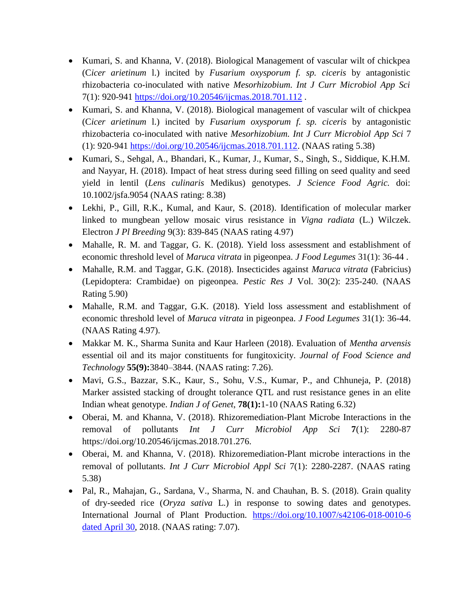- Kumari, S. and Khanna, V. (2018). Biological Management of vascular wilt of chickpea (C*icer arietinum* l.) incited by *Fusarium oxysporum f. sp. ciceris* by antagonistic rhizobacteria co-inoculated with native *Mesorhizobium. Int J Curr Microbiol App Sci* 7(1): 920-941<https://doi.org/10.20546/ijcmas.2018.701.112> .
- Kumari, S. and Khanna, V. (2018). Biological management of vascular wilt of chickpea (C*icer arietinum* l.) incited by *Fusarium oxysporum f. sp. ciceris* by antagonistic rhizobacteria co-inoculated with native *Mesorhizobium. Int J Curr Microbiol App Sci* 7 (1): 920-941 [https://doi.org/10.20546/ijcmas.2018.701.112.](https://doi.org/10.20546/ijcmas.2018.701.112) (NAAS rating 5.38)
- Kumari, S., Sehgal, A., Bhandari, K., Kumar, J., Kumar, S., Singh, S., Siddique, K.H.M. and Nayyar, H. (2018). Impact of heat stress during seed filling on seed quality and seed yield in lentil (*Lens culinaris* Medikus) genotypes. *J Science Food Agric.* doi: 10.1002/jsfa.9054 (NAAS rating: 8.38)
- Lekhi, P., Gill, R.K., Kumal, and Kaur, S. (2018). Identification of molecular marker linked to mungbean yellow mosaic virus resistance in *Vigna radiata* (L.) Wilczek. Electron *J Pl Breeding* 9(3): 839-845 (NAAS rating 4.97)
- Mahalle, R. M. and Taggar, G. K. (2018). Yield loss assessment and establishment of economic threshold level of *Maruca vitrata* in pigeonpea. *J Food Legumes* 31(1): 36-44 .
- Mahalle, R.M. and Taggar, G.K. (2018). Insecticides against *Maruca vitrata* (Fabricius) (Lepidoptera: Crambidae) on pigeonpea. *Pestic Res J* Vol. 30(2): 235-240. (NAAS Rating 5.90)
- Mahalle, R.M. and Taggar, G.K. (2018). Yield loss assessment and establishment of economic threshold level of *Maruca vitrata* in pigeonpea. *J Food Legumes* 31(1): 36-44. (NAAS Rating 4.97).
- Makkar M. K., Sharma Sunita and Kaur Harleen (2018). Evaluation of *Mentha arvensis* essential oil and its major constituents for fungitoxicity. *Journal of Food Science and Technology* **55(9):**3840–3844. (NAAS rating: 7.26).
- Mavi, G.S., Bazzar, S.K., Kaur, S., Sohu, V.S., Kumar, P., and Chhuneja, P. (2018) Marker assisted stacking of drought tolerance QTL and rust resistance genes in an elite Indian wheat genotype. *Indian J of Genet*, **78(1):**1-10 (NAAS Rating 6.32)
- Oberai, M. and Khanna, V. (2018). Rhizoremediation-Plant Microbe Interactions in the removal of pollutants *Int J Curr Microbiol App Sci* **7**(1): 2280-87 https://doi.org/10.20546/ijcmas.2018.701.276.
- Oberai, M. and Khanna, V. (2018). Rhizoremediation-Plant microbe interactions in the removal of pollutants. *Int J Curr Microbiol Appl Sci* 7(1): 2280-2287. (NAAS rating 5.38)
- Pal, R., Mahajan, G., Sardana, V., Sharma, N. and Chauhan, B. S. (2018). Grain quality of dry-seeded rice (*Oryza sativa* L.) in response to sowing dates and genotypes. International Journal of Plant Production. [https://doi.org/10.1007/s42106-018-0010-6](https://doi.org/10.1007/s42106-018-0010-6%20dated%20April%2030)  [dated April 30,](https://doi.org/10.1007/s42106-018-0010-6%20dated%20April%2030) 2018. (NAAS rating: 7.07).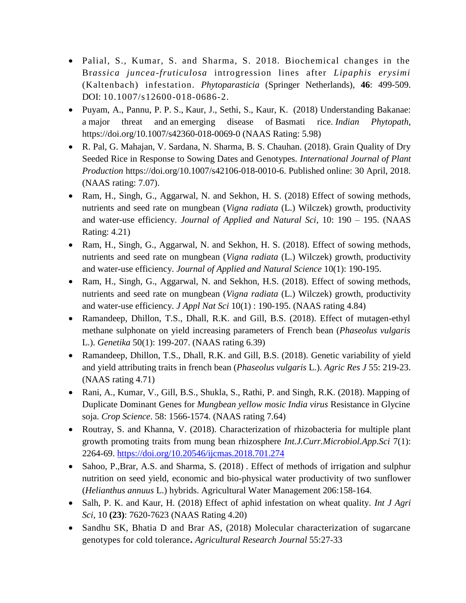- Palial, S., Kumar, S. and Sharma, S. 2018. Biochemical changes in the Br*assica juncea-fruticulosa* introgression lines after *Lipaphis erysimi* (Kaltenbach) infestation. *Phytoparasticia* (Springer Netherlands), **46**: 499-509. DOI: 10.1007/s12600-018-0686-2.
- Puyam, A., Pannu, P. P. S., Kaur, J., Sethi, S., Kaur, K. (2018) Understanding Bakanae: a major threat and an emerging disease of Basmati rice. *Indian Phytopath*, https:/[/doi.org/10.1007/s42360-018-0069-0](http://doi.org/10.1007/s42360-018-0069-0) (NAAS Rating: 5.98)
- R. Pal, G. Mahajan, V. Sardana, N. Sharma, B. S. Chauhan. (2018). Grain Quality of Dry Seeded Rice in Response to Sowing Dates and Genotypes. *International Journal of Plant Production* https://doi.org/10.1007/s42106-018-0010-6. Published online: 30 April, 2018. (NAAS rating: 7.07).
- Ram, H., Singh, G., Aggarwal, N. and Sekhon, H. S. (2018) Effect of sowing methods, nutrients and seed rate on mungbean (*Vigna radiata* (L.) Wilczek) growth, productivity and water-use efficiency. *Journal of Applied and Natural Sci*, 10: 190 – 195. (NAAS Rating: 4.21)
- Ram, H., Singh, G., Aggarwal, N. and Sekhon, H. S. (2018). Effect of sowing methods, nutrients and seed rate on mungbean (*Vigna radiata* (L.) Wilczek) growth, productivity and water-use efficiency. *Journal of Applied and Natural Science* 10(1): 190-195.
- Ram, H., Singh, G., Aggarwal, N. and Sekhon, H.S. (2018). Effect of sowing methods, nutrients and seed rate on mungbean (*Vigna radiata* (L.) Wilczek) growth, productivity and water-use efficiency. *J Appl Nat Sci* 10(1) : 190-195. (NAAS rating 4.84)
- Ramandeep, Dhillon, T.S., Dhall, R.K. and Gill, B.S. (2018). Effect of mutagen-ethyl methane sulphonate on yield increasing parameters of French bean (*Phaseolus vulgaris*  L.). *Genetika* 50(1): 199-207. (NAAS rating 6.39)
- Ramandeep, Dhillon, T.S., Dhall, R.K. and Gill, B.S. (2018). Genetic variability of yield and yield attributing traits in french bean (*Phaseolus vulgaris* L.). *Agric Res J* 55: 219-23. (NAAS rating 4.71)
- Rani, A., Kumar, V., Gill, B.S., Shukla, S., Rathi, P. and Singh, R.K. (2018). Mapping of Duplicate Dominant Genes for *Mungbean yellow mosic India virus* Resistance in Glycine soja. *Crop Science*. 58: 1566-1574. (NAAS rating 7.64)
- Routray, S. and Khanna, V. (2018). Characterization of rhizobacteria for multiple plant growth promoting traits from mung bean rhizosphere *Int.J.Curr.Microbiol.App.Sci* 7(1): 2264-69.<https://doi.org/10.20546/ijcmas.2018.701.274>
- Sahoo, P.,Brar, A.S. and Sharma, S. (2018). Effect of methods of irrigation and sulphur nutrition on seed yield, economic and bio-physical water productivity of two sunflower (*Helianthus annuus* L.) hybrids. Agricultural Water Management 206:158-164.
- Salh, P. K. and Kaur, H. (2018) Effect of aphid infestation on wheat quality. *Int J Agri Sci*, 10 **(23)**: 7620-7623 (NAAS Rating 4.20)
- Sandhu SK, Bhatia D and Brar AS, (2018) Molecular characterization of sugarcane genotypes for cold tolerance**.** *Agricultural Research Journal* 55:27-33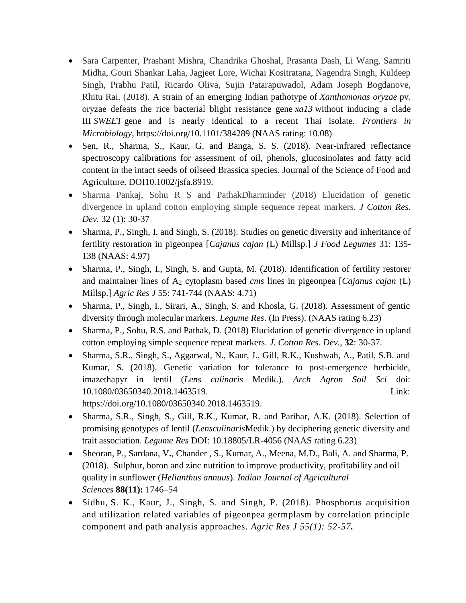- Sara Carpenter, Prashant Mishra, Chandrika Ghoshal, Prasanta Dash, Li Wang, Samriti Midha, Gouri Shankar Laha, Jagjeet Lore, Wichai Kositratana, Nagendra Singh, Kuldeep Singh, Prabhu Patil, Ricardo Oliva, Sujin Patarapuwadol, Adam Joseph Bogdanove, Rhitu Rai. (2018). A strain of an emerging Indian pathotype of *Xanthomonas oryzae* pv. oryzae defeats the rice bacterial blight resistance gene *xa13* without inducing a clade III *SWEET* gene and is nearly identical to a recent Thai isolate. *Frontiers in Microbiology,* https://doi.org/10.1101/384289 (NAAS rating: 10.08)
- Sen, R., Sharma, S., Kaur, G. and Banga, S. S. (2018). Near-infrared reflectance spectroscopy calibrations for assessment of oil, phenols, glucosinolates and fatty acid content in the intact seeds of oilseed Brassica species. Journal of the Science of Food and Agriculture. DOI10.1002/jsfa.8919.
- Sharma Pankaj, Sohu R S and PathakDharminder (2018) Elucidation of genetic divergence in upland cotton employing simple sequence repeat markers. *J Cotton Res. Dev.* 32 (1): 30-37
- Sharma, P., Singh, I. and Singh, S. (2018). Studies on genetic diversity and inheritance of fertility restoration in pigeonpea [*Cajanus cajan* (L) Millsp.] *J Food Legumes* 31: 135- 138 (NAAS: 4.97)
- Sharma, P., Singh, I., Singh, S. and Gupta, M. (2018). Identification of fertility restorer and maintainer lines of A<sup>2</sup> cytoplasm based *cms* lines in pigeonpea [*Cajanus cajan* (L) Millsp.] *Agric Res J* 55: 741-744 (NAAS: 4.71)
- Sharma, P., Singh, I., Sirari, A., Singh, S. and Khosla, G. (2018). Assessment of gentic diversity through molecular markers. *Legume Res*. (In Press). (NAAS rating 6.23)
- Sharma, P., Sohu, R.S. and Pathak, D. (2018) Elucidation of genetic divergence in upland cotton employing simple sequence repeat markers. *J. Cotton Res. Dev.*, **32**: 30-37.
- Sharma, S.R., Singh, S., Aggarwal, N., Kaur, J., Gill, R.K., Kushwah, A., Patil, S.B. and Kumar, S. (2018). Genetic variation for tolerance to post-emergence herbicide, imazethapyr in lentil (*Lens culinaris* Medik.). *Arch Agron Soil Sci* doi: 10.1080/03650340.2018.1463519. Link: https://doi.org/10.1080/03650340.2018.1463519.
- Sharma, S.R., Singh, S., Gill, R.K., Kumar, R. and Parihar, A.K. (2018). Selection of promising genotypes of lentil (*Lensculinaris*Medik.) by deciphering genetic diversity and trait association. *Legume Res* DOI: 10.18805/LR-4056 (NAAS rating 6.23)
- Sheoran, P., Sardana, V**.**, Chander , S., Kumar, A., Meena, M.D., Bali, A. and Sharma, P. (2018). Sulphur, boron and zinc nutrition to improve productivity, profitability and oil quality in sunflower (*Helianthus annuus*). *Indian Journal of Agricultural Sciences* **88(11):** 1746–54
- Sidhu, S. K., Kaur, J., Singh, S. and Singh, P. (2018). Phosphorus acquisition and utilization related variables of pigeonpea germplasm by correlation principle component and path analysis approaches. *Agric Res J 55(1): 52-57.*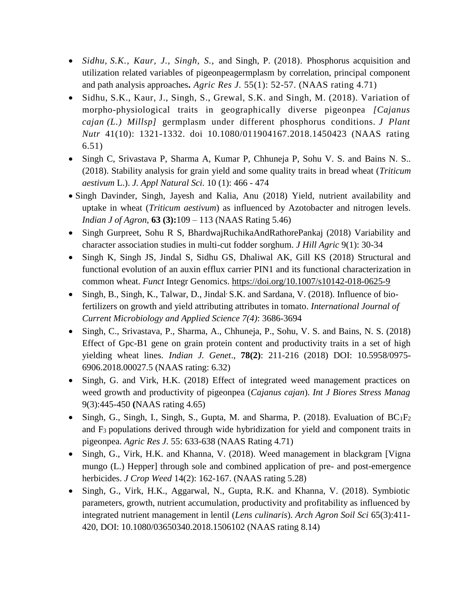- *Sidhu, S.K., Kaur, J., Singh, S.,* and Singh, P. (2018). Phosphorus acquisition and utilization related variables of pigeonpeagermplasm by correlation, principal component and path analysis approaches**.** *Agric Res J.* 55(1): 52-57. (NAAS rating 4.71)
- Sidhu, S.K., Kaur, J., Singh, S., Grewal, S.K. and Singh, M. (2018). Variation of morpho-physiological traits in geographically diverse pigeonpea *[Cajanus cajan (L.) Millsp]* germplasm under different phosphorus conditions. *J Plant Nutr* 41(10): 1321-1332. doi 10.1080/011904167.2018.1450423 (NAAS rating 6.51)
- Singh C, Srivastava P, Sharma A, Kumar P, Chhuneja P, Sohu V. S. and Bains N. S.. (2018). Stability analysis for grain yield and some quality traits in bread wheat (*Triticum aestivum* L.). *J. Appl Natural Sci.* 10 (1): 466 - 474
- Singh Davinder, Singh, Jayesh and Kalia, Anu (2018) Yield, nutrient availability and uptake in wheat (*Triticum aestivum*) as influenced by Azotobacter and nitrogen levels. *Indian J of Agron*, **63 (3):**109 – 113 (NAAS Rating 5.46)
- Singh Gurpreet, Sohu R S, BhardwajRuchikaAndRathorePankaj (2018) Variability and character association studies in multi-cut fodder sorghum. *J Hill Agric* 9(1): 30-34
- Singh K, Singh JS, Jindal S, Sidhu GS, Dhaliwal AK, Gill KS (2018) Structural and functional evolution of an auxin efflux carrier PIN1 and its functional characterization in common wheat. *Funct* Integr Genomics.<https://doi.org/10.1007/s10142-018-0625-9>
- Singh, B., Singh, K., Talwar, D., Jindal<sup>,</sup> S.K. and Sardana, V. (2018). Influence of biofertilizers on growth and yield attributing attributes in tomato. *International Journal of Current Microbiology and Applied Science 7(4)*: 3686-3694
- Singh, C., Srivastava, P., Sharma, A., Chhuneja, P., Sohu, V. S. and Bains, N. S. (2018) Effect of Gpc-B1 gene on grain protein content and productivity traits in a set of high yielding wheat lines. *Indian J. Genet*., **78(2)**: 211-216 (2018) DOI: 10.5958/0975- 6906.2018.00027.5 (NAAS rating: 6.32)
- Singh, G. and Virk, H.K. (2018) Effect of integrated weed management practices on weed growth and productivity of pigeonpea (*Cajanus cajan*). *Int J Biores Stress Manag* 9(3):445-450 **(**NAAS rating 4.65)
- Singh, G., Singh, I., Singh, S., Gupta, M. and Sharma, P. (2018). Evaluation of  $BC_1F_2$ and F3 populations derived through wide hybridization for yield and component traits in pigeonpea. *Agric Res J*. 55: 633-638 (NAAS Rating 4.71)
- Singh, G., Virk, H.K. and Khanna, V. (2018). Weed management in blackgram [Vigna] mungo (L.) Hepper] through sole and combined application of pre- and post-emergence herbicides. *J Crop Weed* 14(2): 162-167. (NAAS rating 5.28)
- Singh, G., Virk, H.K., Aggarwal, N., Gupta, R.K. and Khanna, V. (2018). Symbiotic parameters, growth, nutrient accumulation, productivity and profitability as influenced by integrated nutrient management in lentil (*Lens culinaris*). *Arch Agron Soil Sci* 65(3):411- 420, DOI: 10.1080/03650340.2018.1506102 (NAAS rating 8.14)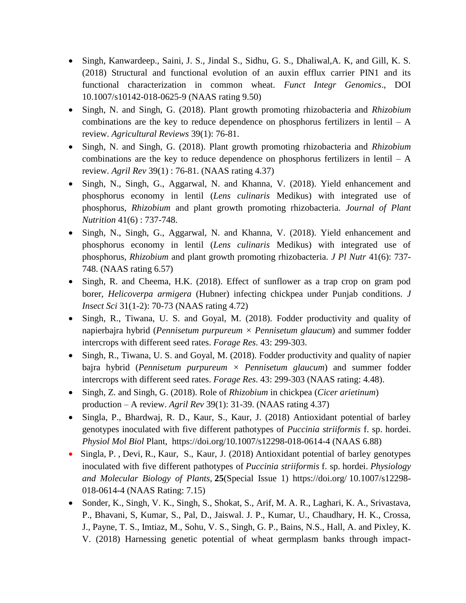- Singh, Kanwardeep., Saini, J. S., Jindal S., Sidhu, G. S., Dhaliwal,A. K, and Gill, K. S. (2018) Structural and functional evolution of an auxin efflux carrier PIN1 and its functional characterization in common wheat. *Funct Integr Genomics*., DOI 10.1007/s10142-018-0625-9 (NAAS rating 9.50)
- Singh, N. and Singh, G. (2018). Plant growth promoting rhizobacteria and *Rhizobium* combinations are the key to reduce dependence on phosphorus fertilizers in lentil – A review. *Agricultural Reviews* 39(1): 76-81.
- Singh, N. and Singh, G. (2018). Plant growth promoting rhizobacteria and *Rhizobium* combinations are the key to reduce dependence on phosphorus fertilizers in lentil  $- A$ review. *Agril Rev* 39(1) : 76-81. (NAAS rating 4.37)
- Singh, N., Singh, G., Aggarwal, N. and Khanna, V. (2018). Yield enhancement and phosphorus economy in lentil (*Lens culinaris* Medikus) with integrated use of phosphorus, *Rhizobium* and plant growth promoting rhizobacteria. *Journal of Plant Nutrition* 41(6) : 737-748.
- Singh, N., Singh, G., Aggarwal, N. and Khanna, V. (2018). Yield enhancement and phosphorus economy in lentil (*Lens culinaris* Medikus) with integrated use of phosphorus, *Rhizobium* and plant growth promoting rhizobacteria. *J Pl Nutr* 41(6): 737- 748. (NAAS rating 6.57)
- Singh, R. and Cheema, H.K. (2018). Effect of sunflower as a trap crop on gram pod borer, *Helicoverpa armigera* (Hubner) infecting chickpea under Punjab conditions. *J Insect Sci* 31(1-2): 70-73 (NAAS rating 4.72)
- Singh, R., Tiwana, U. S. and Goyal, M. (2018). Fodder productivity and quality of napierbajra hybrid (*Pennisetum purpureum × Pennisetum glaucum*) and summer fodder intercrops with different seed rates. *Forage Res*. 43: 299-303.
- Singh, R., Tiwana, U. S. and Goyal, M. (2018). Fodder productivity and quality of napier bajra hybrid (*Pennisetum purpureum × Pennisetum glaucum*) and summer fodder intercrops with different seed rates. *Forage Res*. 43: 299-303 (NAAS rating: 4.48).
- Singh, Z. and Singh, G. (2018). Role of *Rhizobium* in chickpea (*Cicer arietinum*) production – A review. *Agril Rev* 39(1): 31-39. (NAAS rating 4.37)
- Singla, P., Bhardwaj, R. D., Kaur, S., Kaur, J. (2018) Antioxidant potential of barley genotypes inoculated with five different pathotypes of *Puccinia striiformis* f. sp. hordei. *Physiol Mol Biol* Plant, https://doi.org/10.1007/s12298-018-0614-4 (NAAS 6.88)
- [Singla,](https://www.researchgate.net/profile/Prabhjot_Singla2?_sg=8jATSr6DolPHV09La9v4aCqw9SYmC3pX5F1OA5Jtt41JGOxVKDFEKbE6aqu0VvzsGVuxS0I.vmhlQP3SIe0dcGsviFs8M-Ty8KH3C8It8xrE9hNXtnT0Rjo1UTtPTE8vELFFqdj3xnjlGX6B9gEwg2bz2ZqhkQ) [P.](https://www.researchgate.net/profile/Prabhjot_Singla2?_sg=8jATSr6DolPHV09La9v4aCqw9SYmC3pX5F1OA5Jtt41JGOxVKDFEKbE6aqu0VvzsGVuxS0I.vmhlQP3SIe0dcGsviFs8M-Ty8KH3C8It8xrE9hNXtnT0Rjo1UTtPTE8vELFFqdj3xnjlGX6B9gEwg2bz2ZqhkQ) , Devi, [R.,](https://www.researchgate.net/profile/Rachana_Devi?_sg=8jATSr6DolPHV09La9v4aCqw9SYmC3pX5F1OA5Jtt41JGOxVKDFEKbE6aqu0VvzsGVuxS0I.vmhlQP3SIe0dcGsviFs8M-Ty8KH3C8It8xrE9hNXtnT0Rjo1UTtPTE8vELFFqdj3xnjlGX6B9gEwg2bz2ZqhkQ) [Kaur,](https://www.researchgate.net/scientific-contributions/2148962440_Simarjit_Kaur?_sg=8jATSr6DolPHV09La9v4aCqw9SYmC3pX5F1OA5Jtt41JGOxVKDFEKbE6aqu0VvzsGVuxS0I.vmhlQP3SIe0dcGsviFs8M-Ty8KH3C8It8xrE9hNXtnT0Rjo1UTtPTE8vELFFqdj3xnjlGX6B9gEwg2bz2ZqhkQ) S., Kaur, J. (2018) Antioxidant potential of barley genotypes inoculated with five different pathotypes of *Puccinia striiformis* f. sp. hordei. *Physiology and Molecular Biology of Plants,* **25**(Special Issue 1) https://doi.org/ 10.1007/s12298- 018-0614-4 (NAAS Rating: 7.15)
- Sonder, K., Singh, V. K., Singh, S., Shokat, S., Arif, M. A. R., Laghari, K. A., Srivastava, P., Bhavani, S, Kumar, S., Pal, D., Jaiswal. J. P., Kumar, U., Chaudhary, H. K., Crossa, J., Payne, T. S., Imtiaz, M., Sohu, V. S., Singh, G. P., Bains, N.S., Hall, A. and Pixley, K. V. (2018) Harnessing genetic potential of wheat germplasm banks through impact-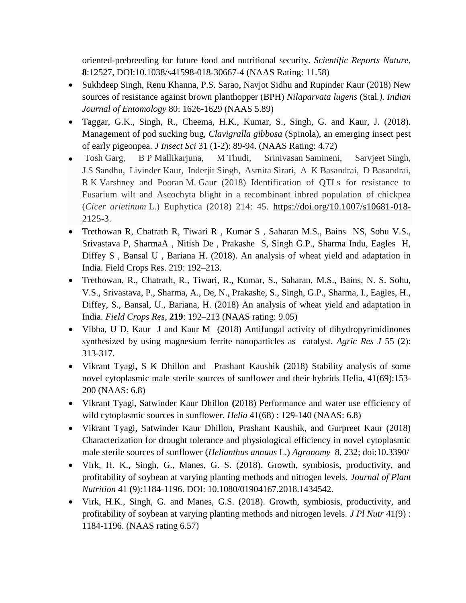oriented-prebreeding for future food and nutritional security. *Scientific Reports Nature*, **8**:12527, DOI:10.1038/s41598-018-30667-4 (NAAS Rating: 11.58)

- Sukhdeep Singh, Renu Khanna, P.S. Sarao, Navjot Sidhu and Rupinder Kaur (2018) New sources of resistance against brown planthopper (BPH) *Nilaparvata lugens* (Stal*.). Indian Journal of Entomology* 80: 1626-1629 (NAAS 5.89)
- Taggar, G.K., Singh, R., Cheema, H.K., Kumar, S., Singh, G. and Kaur, J. (2018). Management of pod sucking bug, *Clavigralla gibbosa* (Spinola), an emerging insect pest of early pigeonpea. *J Insect Sci* 31 (1-2): 89-94. (NAAS Rating: 4.72)
- Tosh Garg, B P Mallikarjuna, M Thudi, Srinivasan Samineni, Sarvjeet Singh, J S Sandhu, Livinder Kaur, Inderjit Singh, Asmita Sirari, A K Basandrai, D Basandrai, R K Varshney and Pooran M. Gaur (2018) Identification of QTLs for resistance to Fusarium wilt and Ascochyta blight in a recombinant inbred population of chickpea (*Cicer arietinum* L.) Euphytica (2018) 214: 45. [https://doi.org/10.1007/s10681-018-](https://doi.org/10.1007/s10681-018-2125-3) [2125-3.](https://doi.org/10.1007/s10681-018-2125-3)
- Trethowan R, Chatrath R, Tiwari R , Kumar S , Saharan M.S., Bains NS, Sohu V.S., Srivastava P, SharmaA , Nitish De , Prakashe S, Singh G.P., Sharma Indu, Eagles H, Diffey S , Bansal U , Bariana H. (2018). An analysis of wheat yield and adaptation in India. Field Crops Res. 219: 192–213.
- Trethowan, R., Chatrath, R., Tiwari, R., Kumar, S., Saharan, M.S., Bains, N. S. Sohu, V.S., Srivastava, P., Sharma, A., De, N., Prakashe, S., Singh, G.P., Sharma, I., Eagles, H., Diffey, S., Bansal, U., Bariana, H. (2018) An analysis of wheat yield and adaptation in India. *Field Crops Res*, **219**: 192–213 (NAAS rating: 9.05)
- Vibha, U D, Kaur J and Kaur M (2018) Antifungal activity of dihydropyrimidinones synthesized by using magnesium ferrite nanoparticles as catalyst. *Agric Res J* 55 (2): 313-317.
- Vikrant Tyagi**,** S K Dhillon and Prashant Kaushik (2018) Stability analysis of some novel cytoplasmic male sterile sources of sunflower and their hybrids Helia, 41(69):153- 200 (NAAS: 6.8)
- Vikrant Tyagi, Satwinder Kaur Dhillon **(**2018) Performance and water use efficiency of wild cytoplasmic sources in sunflower. *Helia*  $41(68)$ : 129-140 (NAAS: 6.8)
- Vikrant Tyagi, Satwinder Kaur Dhillon, Prashant Kaushik, and Gurpreet Kaur (2018) Characterization for drought tolerance and physiological efficiency in novel cytoplasmic male sterile sources of sunflower (*Helianthus annuus* L.) *Agronomy* 8, 232; doi:10.3390/
- Virk, H. K., Singh, G., Manes, G. S. (2018). Growth, symbiosis, productivity, and profitability of soybean at varying planting methods and nitrogen levels. *Journal of Plant Nutrition* 41 **(**9):1184-1196. DOI: 10.1080/01904167.2018.1434542.
- Virk, H.K., Singh, G. and Manes, G.S. (2018). Growth, symbiosis, productivity, and profitability of soybean at varying planting methods and nitrogen levels. *J Pl Nutr* 41(9) : 1184-1196. (NAAS rating 6.57)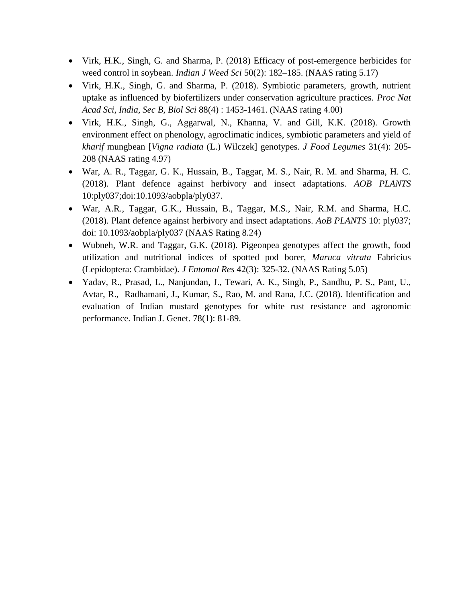- Virk, H.K., Singh, G. and Sharma, P. (2018) Efficacy of post-emergence herbicides for weed control in soybean. *Indian J Weed Sci* 50(2): 182–185. (NAAS rating 5.17)
- Virk, H.K., Singh, G. and Sharma, P. (2018). Symbiotic parameters, growth, nutrient uptake as influenced by biofertilizers under conservation agriculture practices. *Proc Nat Acad Sci, India, Sec B, Biol Sci* 88(4) : 1453-1461. (NAAS rating 4.00)
- Virk, H.K., Singh, G., Aggarwal, N., Khanna, V. and Gill, K.K. (2018). Growth environment effect on phenology, agroclimatic indices, symbiotic parameters and yield of *kharif* mungbean [*Vigna radiata* (L.) Wilczek] genotypes. *J Food Legumes* 31(4): 205- 208 (NAAS rating 4.97)
- War, A. R., Taggar, G. K., Hussain, B., Taggar, M. S., Nair, R. M. and Sharma, H. C. (2018). Plant defence against herbivory and insect adaptations. *AOB PLANTS*  10:ply037;doi:10.1093/aobpla/ply037.
- War, A.R., Taggar, G.K., Hussain, B., Taggar, M.S., Nair, R.M. and Sharma, H.C. (2018). Plant defence against herbivory and insect adaptations. *AoB PLANTS* 10: ply037; doi: 10.1093/aobpla/ply037 (NAAS Rating 8.24)
- Wubneh, W.R. and Taggar, G.K. (2018). Pigeonpea genotypes affect the growth, food utilization and nutritional indices of spotted pod borer, *Maruca vitrata* Fabricius (Lepidoptera: Crambidae). *J Entomol Res* 42(3): 325-32. (NAAS Rating 5.05)
- Yadav, R., Prasad, L., Nanjundan, J., Tewari, A. K., Singh, P., Sandhu, P. S., Pant, U., Avtar, R., Radhamani, J., Kumar, S., Rao, M. and Rana, J.C. (2018). Identification and evaluation of Indian mustard genotypes for white rust resistance and agronomic performance. Indian J. Genet. 78(1): 81-89.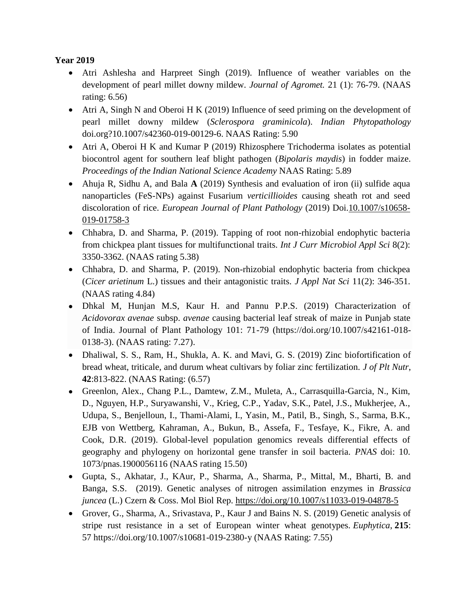#### **Year 2019**

- Atri Ashlesha and Harpreet Singh (2019). Influence of weather variables on the development of pearl millet downy mildew. *Journal of Agromet.* 21 (1): 76-79. (NAAS rating: 6.56)
- Atri A, Singh N and Oberoi H K (2019) Influence of seed priming on the development of pearl millet downy mildew (*Sclerospora graminicola*). *Indian Phytopathology* doi.org?10.1007/s42360-019-00129-6. NAAS Rating: 5.90
- Atri A, Oberoi H K and Kumar P (2019) Rhizosphere Trichoderma isolates as potential biocontrol agent for southern leaf blight pathogen (*Bipolaris maydis*) in fodder maize. *Proceedings of the Indian National Science Academy* NAAS Rating: 5.89
- Ahuja R, Sidhu A, and Bala **A** (2019) Synthesis and evaluation of iron (ii) sulfide aqua nanoparticles (FeS-NPs) against Fusarium *verticillioides* causing sheath rot and seed discoloration of rice. *European Journal of Plant Pathology* (2019) Doi[.10.1007/s10658-](http://dx.doi.org/10.1007/s10658-019-01758-3) [019-01758-3](http://dx.doi.org/10.1007/s10658-019-01758-3)
- Chhabra, D. and Sharma, P. (2019). Tapping of root non-rhizobial endophytic bacteria from chickpea plant tissues for multifunctional traits. *Int J Curr Microbiol Appl Sci* 8(2): 3350-3362. (NAAS rating 5.38)
- Chhabra, D. and Sharma, P. (2019). Non-rhizobial endophytic bacteria from chickpea (*Cicer arietinum* L.) tissues and their antagonistic traits. *J Appl Nat Sci* 11(2): 346-351. (NAAS rating 4.84)
- Dhkal M, Hunjan M.S, Kaur H. and Pannu P.P.S. (2019) Characterization of *Acidovorax avenae* subsp. *avenae* causing bacterial leaf streak of maize in Punjab state of India. Journal of Plant Pathology 101: 71-79 (https://doi.org/10.1007/s42161-018- 0138-3). (NAAS rating: 7.27).
- Dhaliwal, S. S., Ram, H., Shukla, A. K. and Mavi, G. S. (2019) Zinc biofortification of bread wheat, triticale, and durum wheat cultivars by foliar zinc fertilization. *J of Plt Nutr*, **42**:813-822. (NAAS Rating: (6.57)
- Greenlon, Alex., Chang P.L., Damtew, Z.M., Muleta, A., Carrasquilla-Garcia, N., Kim, D., Nguyen, H.P., Suryawanshi, V., Krieg, C.P., Yadav, S.K., Patel, J.S., Mukherjee, A., Udupa, S., Benjelloun, I., Thami-Alami, I., Yasin, M., Patil, B., Singh, S., Sarma, B.K., EJB von Wettberg, Kahraman, A., Bukun, B., Assefa, F., Tesfaye, K., Fikre, A. and Cook, D.R. (2019). Global-level population genomics reveals differential effects of geography and phylogeny on horizontal gene transfer in soil bacteria. *PNAS* doi: 10. 1073/pnas.1900056116 (NAAS rating 15.50)
- Gupta, S., Akhatar, J., KAur, P., Sharma, A., Sharma, P., Mittal, M., Bharti, B. and Banga, S.S. (2019). Genetic analyses of nitrogen assimilation enzymes in *Brassica juncea* (L.) Czern & Coss. Mol Biol Rep.<https://doi.org/10.1007/s11033-019-04878-5>
- Grover, G., Sharma, A., Srivastava, P., Kaur J and Bains N. S. (2019) Genetic analysis of stripe rust resistance in a set of European winter wheat genotypes. *Euphytica*, **215**: 57 <https://doi.org/10.1007/s10681-019-2380-y> (NAAS Rating: 7.55)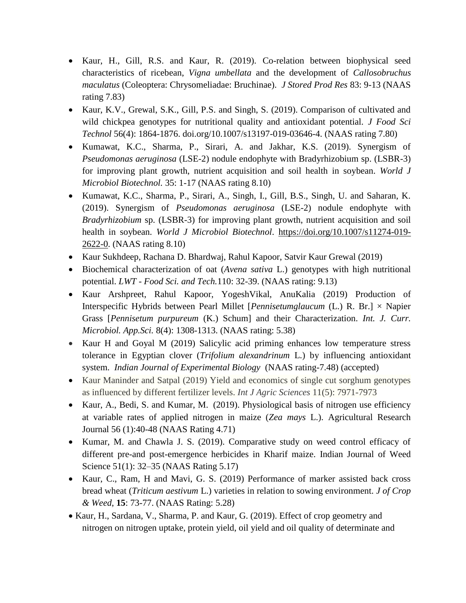- Kaur, H., Gill, R.S. and Kaur, R. (2019). Co-relation between biophysical seed characteristics of ricebean, *Vigna umbellata* and the development of *Callosobruchus maculatus* (Coleoptera: Chrysomeliadae: Bruchinae). *J Stored Prod Res* 83: 9-13 (NAAS rating 7.83)
- Kaur, K.V., Grewal, S.K., Gill, P.S. and Singh, S. (2019). Comparison of cultivated and wild chickpea genotypes for nutritional quality and antioxidant potential. *J Food Sci Technol* 56(4): 1864-1876. doi.org/10.1007/s13197-019-03646-4. (NAAS rating 7.80)
- Kumawat, K.C., Sharma, P., Sirari, A. and Jakhar, K.S. (2019). Synergism of *Pseudomonas aeruginosa* (LSE-2) nodule endophyte with Bradyrhizobium sp. (LSBR-3) for improving plant growth, nutrient acquisition and soil health in soybean. *World J Microbiol Biotechnol.* 35: 1-17 (NAAS rating 8.10)
- Kumawat, K.C., Sharma, P., Sirari, A., Singh, I., Gill, B.S., Singh, U. and Saharan, K. (2019). Synergism of *Pseudomonas aeruginosa* (LSE-2) nodule endophyte with *Bradyrhizobium* sp. (LSBR-3) for improving plant growth, nutrient acquisition and soil health in soybean. *World J Microbiol Biotechnol*. [https://doi.org/10.1007/s11274-019-](https://doi.org/10.1007/s11274-019-2622-0) [2622-0.](https://doi.org/10.1007/s11274-019-2622-0) (NAAS rating 8.10)
- Kaur Sukhdeep, Rachana D. Bhardwaj, Rahul Kapoor, Satvir Kaur Grewal (2019)
- Biochemical characterization of oat (*Avena sativa* L.) genotypes with high nutritional potential. *LWT - Food Sci. and Tech.*110: 32-39. (NAAS rating: 9.13)
- Kaur Arshpreet, Rahul Kapoor, YogeshVikal, AnuKalia (2019) Production of Interspecific Hybrids between Pearl Millet [*Pennisetumglaucum* (L.) R. Br.] × Napier Grass [*Pennisetum purpureum* (K.) Schum] and their Characterization. *Int. J. Curr. Microbiol. App.Sci.* 8(4): 1308-1313. (NAAS rating: 5.38)
- Kaur H and Goyal M (2019) Salicylic acid priming enhances low temperature stress tolerance in Egyptian clover (*Trifolium alexandrinum* L.) by influencing antioxidant system. *Indian Journal of Experimental Biology* (NAAS rating-7.48) (accepted)
- Kaur Maninder and Satpal (2019) Yield and economics of single cut sorghum genotypes as influenced by different fertilizer levels. *Int J Agric Sciences* 11(5): 7971-7973
- Kaur, A., Bedi, S. and Kumar, M. (2019). Physiological basis of nitrogen use efficiency at variable rates of applied nitrogen in maize (*Zea mays* L.). Agricultural Research Journal 56 (1):40-48 (NAAS Rating 4.71)
- Kumar, M. and Chawla J. S. (2019). Comparative study on weed control efficacy of different pre-and post-emergence herbicides in Kharif maize. Indian Journal of Weed Science 51(1): 32–35 (NAAS Rating 5.17)
- Kaur, C., Ram, H and Mavi, G. S. (2019) Performance of marker assisted back cross bread wheat (*Triticum aestivum* L.) varieties in relation to sowing environment. *J of Crop & Weed*, **15**: 73-77. (NAAS Rating: 5.28)
- Kaur, H., Sardana, V., Sharma, P. and Kaur, G. (2019). Effect of crop geometry and nitrogen on nitrogen uptake, protein yield, oil yield and oil quality of determinate and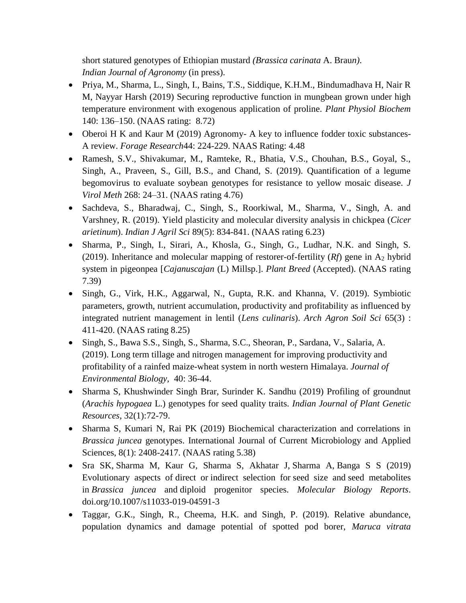short statured genotypes of Ethiopian mustard *(Brassica carinata* A. Brau*n)*. *Indian Journal of Agronomy* (in press).

- Priya, M., Sharma, L., Singh, I., Bains, T.S., Siddique, K.H.M., Bindumadhava H, Nair R M, Nayyar Harsh (2019) Securing reproductive function in mungbean grown under high temperature environment with exogenous application of proline. *Plant Physiol Biochem*  140: 136–150. (NAAS rating: 8.72)
- Oberoi H K and Kaur M (2019) Agronomy- A key to influence fodder toxic substances-A review. *Forage Research*44: 224-229. NAAS Rating: 4.48
- Ramesh, S.V., Shivakumar, M., Ramteke, R., Bhatia, V.S., Chouhan, B.S., Goyal, S., Singh, A., Praveen, S., Gill, B.S., and Chand, S. (2019). Quantification of a legume begomovirus to evaluate soybean genotypes for resistance to yellow mosaic disease. *J Virol Meth* 268: 24–31. (NAAS rating 4.76)
- Sachdeva, S., Bharadwaj, C., Singh, S., Roorkiwal, M., Sharma, V., Singh, A. and Varshney, R. (2019). Yield plasticity and molecular diversity analysis in chickpea (*Cicer arietinum*). *Indian J Agril Sci* 89(5): 834-841. (NAAS rating 6.23)
- Sharma, P., Singh, I., Sirari, A., Khosla, G., Singh, G., Ludhar, N.K. and Singh, S. (2019). Inheritance and molecular mapping of restorer-of-fertility  $(Rf)$  gene in A<sub>2</sub> hybrid system in pigeonpea [*Cajanuscajan* (L) Millsp.]. *Plant Breed* (Accepted). (NAAS rating 7.39)
- Singh, G., Virk, H.K., Aggarwal, N., Gupta, R.K. and Khanna, V. (2019). Symbiotic parameters, growth, nutrient accumulation, productivity and profitability as influenced by integrated nutrient management in lentil (*Lens culinaris*). *Arch Agron Soil Sci* 65(3) : 411-420. (NAAS rating 8.25)
- Singh, S., Bawa S.S., Singh, S., Sharma, S.C., Sheoran, P., Sardana, V., Salaria, A. (2019). Long term tillage and nitrogen management for improving productivity and profitability of a rainfed maize-wheat system in north western Himalaya. *Journal of Environmental Biology,* 40: 36-44.
- Sharma S, Khushwinder Singh Brar, Surinder K. Sandhu (2019) Profiling of groundnut (*Arachis hypogaea* L.) genotypes for seed quality traits. *Indian Journal of Plant Genetic Resources*, 32(1):72-79.
- Sharma S, Kumari N, Rai PK (2019) Biochemical characterization and correlations in *Brassica juncea* genotypes. International Journal of Current Microbiology and Applied Sciences, 8(1): 2408-2417. (NAAS rating 5.38)
- Sra SK, Sharma M, Kaur G, Sharma S, Akhatar J, Sharma A, Banga S S (2019) Evolutionary aspects of direct or indirect selection for seed size and seed metabolites in *Brassica juncea* and diploid progenitor species. *Molecular Biology Reports*. doi.org/10.1007/s11033-019-04591-3
- Taggar, G.K., Singh, R., Cheema, H.K. and Singh, P. (2019). Relative abundance, population dynamics and damage potential of spotted pod borer, *Maruca vitrata*